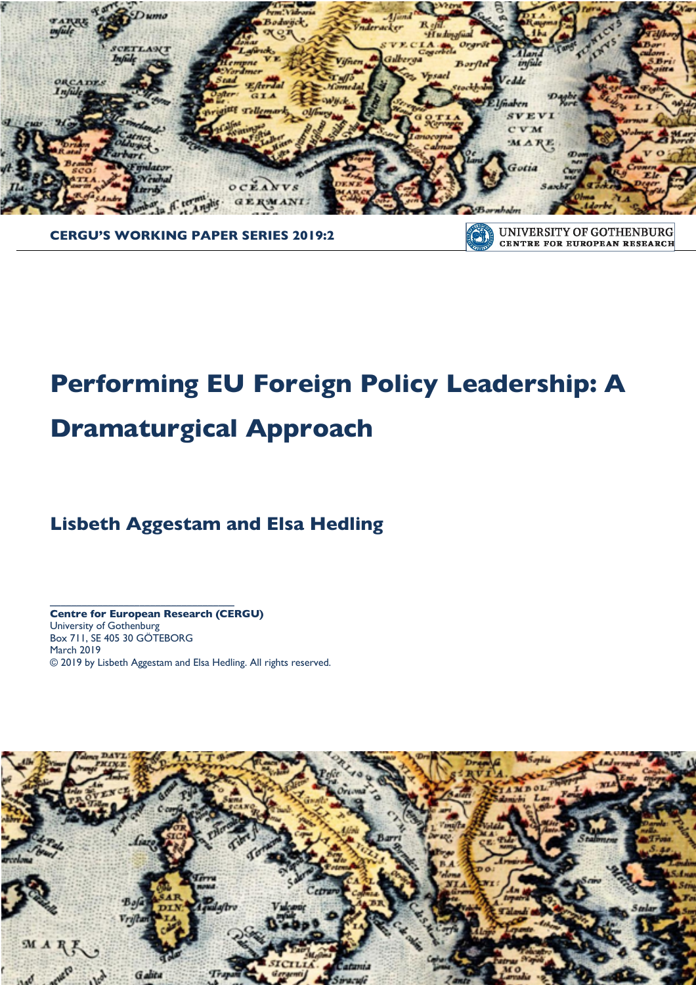

**CERGU'S WORKING PAPER SERIES 2019:2**

UNIVERSITY OF GOTHENBURG **COTT CENTRE FOR EUROPEAN RESEARCH** 

# **Performing EU Foreign Policy Leadership: A Dramaturgical Approach**

## **Lisbeth Aggestam and Elsa Hedling**

**Centre for European Research (CERGU)**  University of Gothenburg Box 711, SE 405 30 GÖTEBORG March 2019 © 2019 by Lisbeth Aggestam and Elsa Hedling. All rights reserved.

**\_\_\_\_\_\_\_\_\_\_\_\_\_\_\_\_\_\_\_\_\_\_\_\_\_\_\_\_\_\_\_\_\_\_\_**

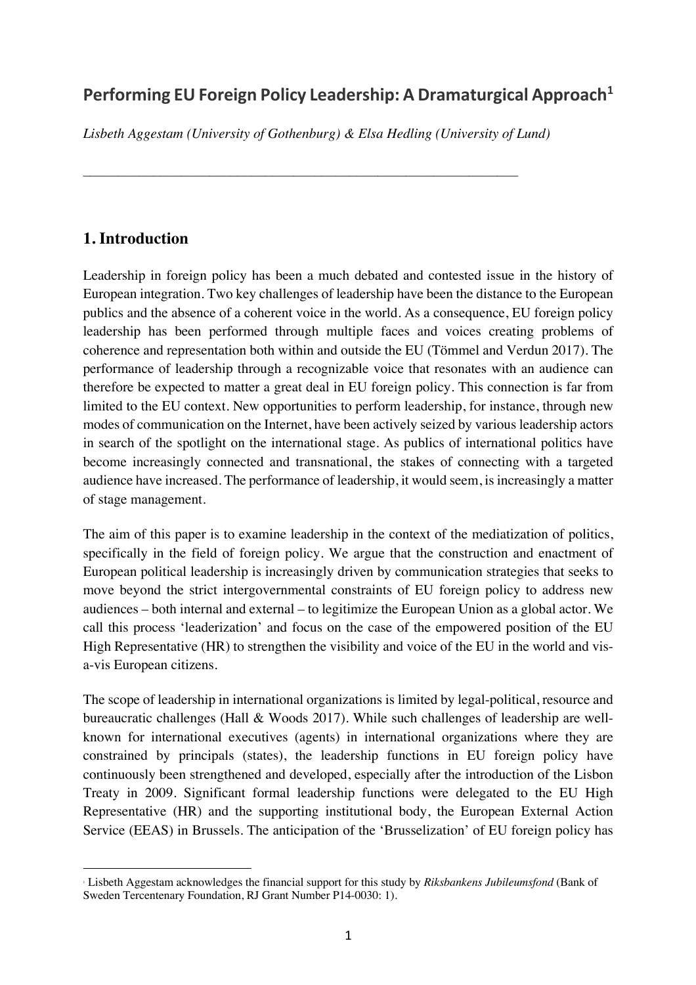## Performing EU Foreign Policy Leadership: A Dramaturgical Approach<sup>1</sup>

*Lisbeth Aggestam (University of Gothenburg) & Elsa Hedling (University of Lund)*

## **1. Introduction**

Leadership in foreign policy has been a much debated and contested issue in the history of European integration. Two key challenges of leadership have been the distance to the European publics and the absence of a coherent voice in the world. As a consequence, EU foreign policy leadership has been performed through multiple faces and voices creating problems of coherence and representation both within and outside the EU (Tömmel and Verdun 2017). The performance of leadership through a recognizable voice that resonates with an audience can therefore be expected to matter a great deal in EU foreign policy. This connection is far from limited to the EU context. New opportunities to perform leadership, for instance, through new modes of communication on the Internet, have been actively seized by various leadership actors in search of the spotlight on the international stage. As publics of international politics have become increasingly connected and transnational, the stakes of connecting with a targeted audience have increased. The performance of leadership, it would seem, is increasingly a matter of stage management.

The aim of this paper is to examine leadership in the context of the mediatization of politics, specifically in the field of foreign policy. We argue that the construction and enactment of European political leadership is increasingly driven by communication strategies that seeks to move beyond the strict intergovernmental constraints of EU foreign policy to address new audiences – both internal and external – to legitimize the European Union as a global actor. We call this process 'leaderization' and focus on the case of the empowered position of the EU High Representative (HR) to strengthen the visibility and voice of the EU in the world and visa-vis European citizens.

The scope of leadership in international organizations is limited by legal-political, resource and bureaucratic challenges (Hall & Woods 2017). While such challenges of leadership are wellknown for international executives (agents) in international organizations where they are constrained by principals (states), the leadership functions in EU foreign policy have continuously been strengthened and developed, especially after the introduction of the Lisbon Treaty in 2009. Significant formal leadership functions were delegated to the EU High Representative (HR) and the supporting institutional body, the European External Action Service (EEAS) in Brussels. The anticipation of the 'Brusselization' of EU foreign policy has

 $\overline{a}$ <sup>1</sup> Lisbeth Aggestam acknowledges the financial support for this study by *Riksbankens Jubileumsfond* (Bank of Sweden Tercentenary Foundation, RJ Grant Number P14-0030: 1).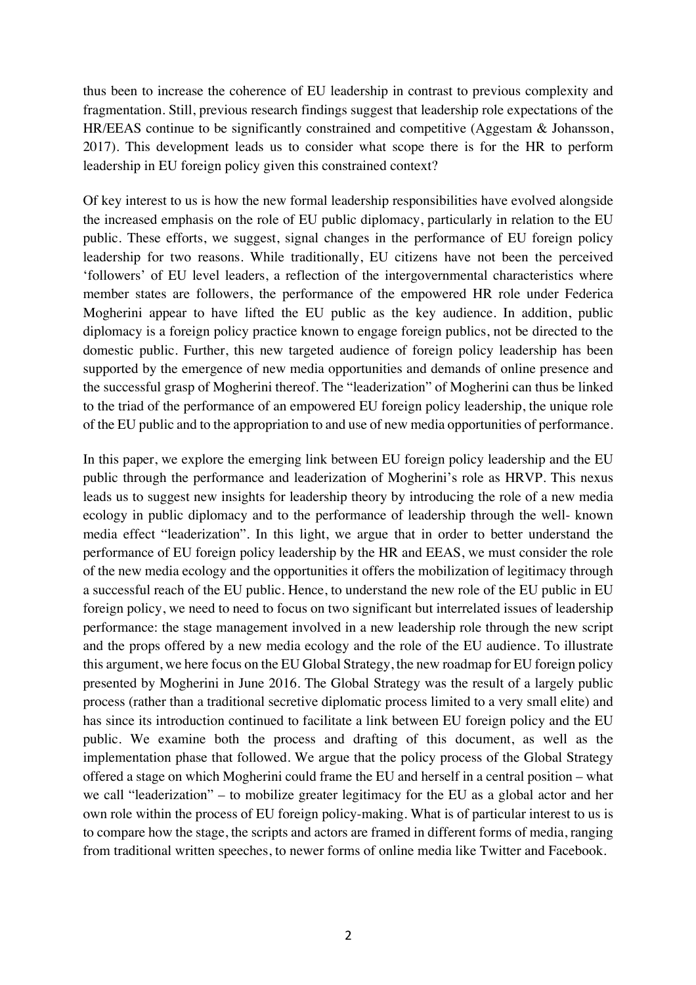thus been to increase the coherence of EU leadership in contrast to previous complexity and fragmentation. Still, previous research findings suggest that leadership role expectations of the HR/EEAS continue to be significantly constrained and competitive (Aggestam & Johansson, 2017). This development leads us to consider what scope there is for the HR to perform leadership in EU foreign policy given this constrained context?

Of key interest to us is how the new formal leadership responsibilities have evolved alongside the increased emphasis on the role of EU public diplomacy, particularly in relation to the EU public. These efforts, we suggest, signal changes in the performance of EU foreign policy leadership for two reasons. While traditionally, EU citizens have not been the perceived 'followers' of EU level leaders, a reflection of the intergovernmental characteristics where member states are followers, the performance of the empowered HR role under Federica Mogherini appear to have lifted the EU public as the key audience. In addition, public diplomacy is a foreign policy practice known to engage foreign publics, not be directed to the domestic public. Further, this new targeted audience of foreign policy leadership has been supported by the emergence of new media opportunities and demands of online presence and the successful grasp of Mogherini thereof. The "leaderization" of Mogherini can thus be linked to the triad of the performance of an empowered EU foreign policy leadership, the unique role of the EU public and to the appropriation to and use of new media opportunities of performance.

In this paper, we explore the emerging link between EU foreign policy leadership and the EU public through the performance and leaderization of Mogherini's role as HRVP. This nexus leads us to suggest new insights for leadership theory by introducing the role of a new media ecology in public diplomacy and to the performance of leadership through the well- known media effect "leaderization". In this light, we argue that in order to better understand the performance of EU foreign policy leadership by the HR and EEAS, we must consider the role of the new media ecology and the opportunities it offers the mobilization of legitimacy through a successful reach of the EU public. Hence, to understand the new role of the EU public in EU foreign policy, we need to need to focus on two significant but interrelated issues of leadership performance: the stage management involved in a new leadership role through the new script and the props offered by a new media ecology and the role of the EU audience. To illustrate this argument, we here focus on the EU Global Strategy, the new roadmap for EU foreign policy presented by Mogherini in June 2016. The Global Strategy was the result of a largely public process (rather than a traditional secretive diplomatic process limited to a very small elite) and has since its introduction continued to facilitate a link between EU foreign policy and the EU public. We examine both the process and drafting of this document, as well as the implementation phase that followed. We argue that the policy process of the Global Strategy offered a stage on which Mogherini could frame the EU and herself in a central position – what we call "leaderization" – to mobilize greater legitimacy for the EU as a global actor and her own role within the process of EU foreign policy-making. What is of particular interest to us is to compare how the stage, the scripts and actors are framed in different forms of media, ranging from traditional written speeches, to newer forms of online media like Twitter and Facebook.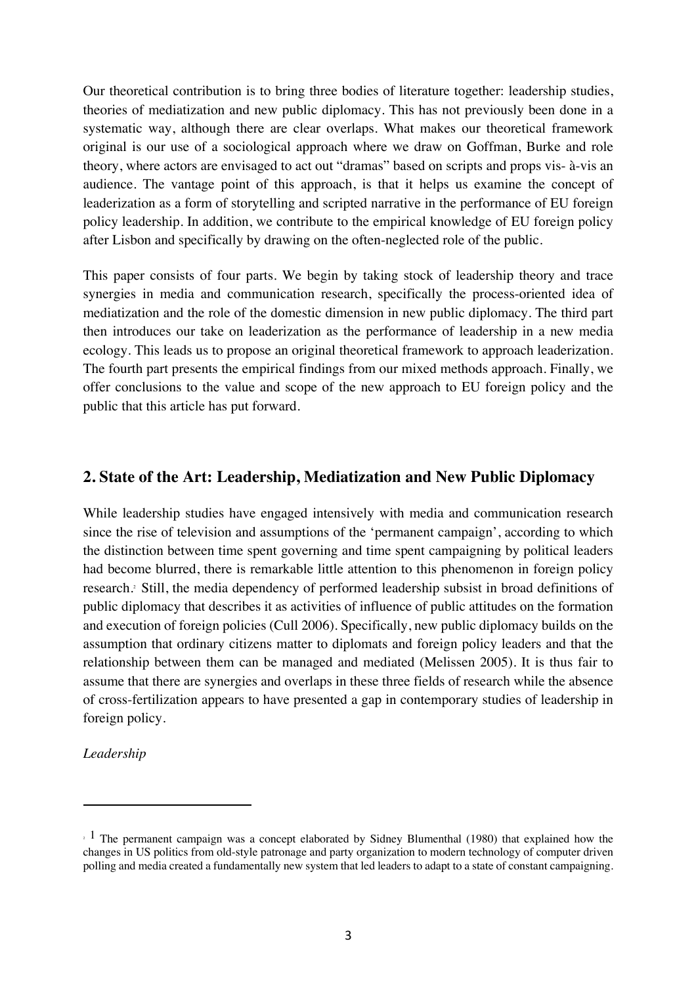Our theoretical contribution is to bring three bodies of literature together: leadership studies, theories of mediatization and new public diplomacy. This has not previously been done in a systematic way, although there are clear overlaps. What makes our theoretical framework original is our use of a sociological approach where we draw on Goffman, Burke and role theory, where actors are envisaged to act out "dramas" based on scripts and props vis- à-vis an audience. The vantage point of this approach, is that it helps us examine the concept of leaderization as a form of storytelling and scripted narrative in the performance of EU foreign policy leadership. In addition, we contribute to the empirical knowledge of EU foreign policy after Lisbon and specifically by drawing on the often-neglected role of the public.

This paper consists of four parts. We begin by taking stock of leadership theory and trace synergies in media and communication research, specifically the process-oriented idea of mediatization and the role of the domestic dimension in new public diplomacy. The third part then introduces our take on leaderization as the performance of leadership in a new media ecology. This leads us to propose an original theoretical framework to approach leaderization. The fourth part presents the empirical findings from our mixed methods approach. Finally, we offer conclusions to the value and scope of the new approach to EU foreign policy and the public that this article has put forward.

## **2. State of the Art: Leadership, Mediatization and New Public Diplomacy**

While leadership studies have engaged intensively with media and communication research since the rise of television and assumptions of the 'permanent campaign', according to which the distinction between time spent governing and time spent campaigning by political leaders had become blurred, there is remarkable little attention to this phenomenon in foreign policy research. <sup>2</sup> Still, the media dependency of performed leadership subsist in broad definitions of public diplomacy that describes it as activities of influence of public attitudes on the formation and execution of foreign policies (Cull 2006). Specifically, new public diplomacy builds on the assumption that ordinary citizens matter to diplomats and foreign policy leaders and that the relationship between them can be managed and mediated (Melissen 2005). It is thus fair to assume that there are synergies and overlaps in these three fields of research while the absence of cross-fertilization appears to have presented a gap in contemporary studies of leadership in foreign policy.

*Leadership* 

 $\overline{a}$ 

 $2^{1}$  The permanent campaign was a concept elaborated by Sidney Blumenthal (1980) that explained how the changes in US politics from old-style patronage and party organization to modern technology of computer driven polling and media created a fundamentally new system that led leaders to adapt to a state of constant campaigning.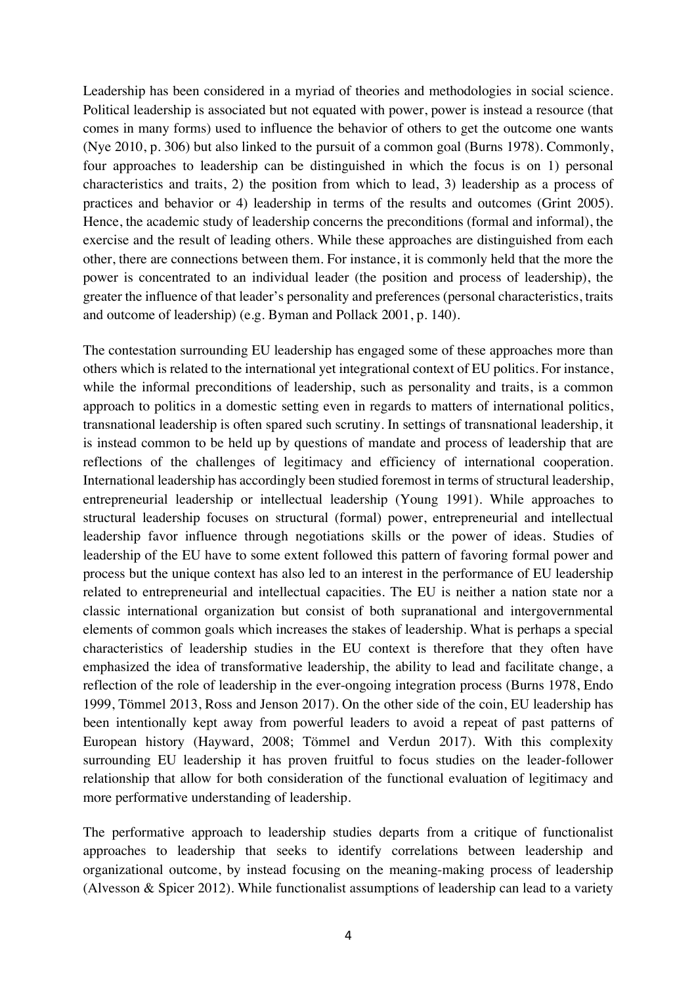Leadership has been considered in a myriad of theories and methodologies in social science. Political leadership is associated but not equated with power, power is instead a resource (that comes in many forms) used to influence the behavior of others to get the outcome one wants (Nye 2010, p. 306) but also linked to the pursuit of a common goal (Burns 1978). Commonly, four approaches to leadership can be distinguished in which the focus is on 1) personal characteristics and traits, 2) the position from which to lead, 3) leadership as a process of practices and behavior or 4) leadership in terms of the results and outcomes (Grint 2005). Hence, the academic study of leadership concerns the preconditions (formal and informal), the exercise and the result of leading others. While these approaches are distinguished from each other, there are connections between them. For instance, it is commonly held that the more the power is concentrated to an individual leader (the position and process of leadership), the greater the influence of that leader's personality and preferences (personal characteristics, traits and outcome of leadership) (e.g. Byman and Pollack 2001, p. 140).

The contestation surrounding EU leadership has engaged some of these approaches more than others which is related to the international yet integrational context of EU politics. For instance, while the informal preconditions of leadership, such as personality and traits, is a common approach to politics in a domestic setting even in regards to matters of international politics, transnational leadership is often spared such scrutiny. In settings of transnational leadership, it is instead common to be held up by questions of mandate and process of leadership that are reflections of the challenges of legitimacy and efficiency of international cooperation. International leadership has accordingly been studied foremost in terms of structural leadership, entrepreneurial leadership or intellectual leadership (Young 1991). While approaches to structural leadership focuses on structural (formal) power, entrepreneurial and intellectual leadership favor influence through negotiations skills or the power of ideas. Studies of leadership of the EU have to some extent followed this pattern of favoring formal power and process but the unique context has also led to an interest in the performance of EU leadership related to entrepreneurial and intellectual capacities. The EU is neither a nation state nor a classic international organization but consist of both supranational and intergovernmental elements of common goals which increases the stakes of leadership. What is perhaps a special characteristics of leadership studies in the EU context is therefore that they often have emphasized the idea of transformative leadership, the ability to lead and facilitate change, a reflection of the role of leadership in the ever-ongoing integration process (Burns 1978, Endo 1999, Tömmel 2013, Ross and Jenson 2017). On the other side of the coin, EU leadership has been intentionally kept away from powerful leaders to avoid a repeat of past patterns of European history (Hayward, 2008; Tömmel and Verdun 2017). With this complexity surrounding EU leadership it has proven fruitful to focus studies on the leader-follower relationship that allow for both consideration of the functional evaluation of legitimacy and more performative understanding of leadership.

The performative approach to leadership studies departs from a critique of functionalist approaches to leadership that seeks to identify correlations between leadership and organizational outcome, by instead focusing on the meaning-making process of leadership (Alvesson & Spicer 2012). While functionalist assumptions of leadership can lead to a variety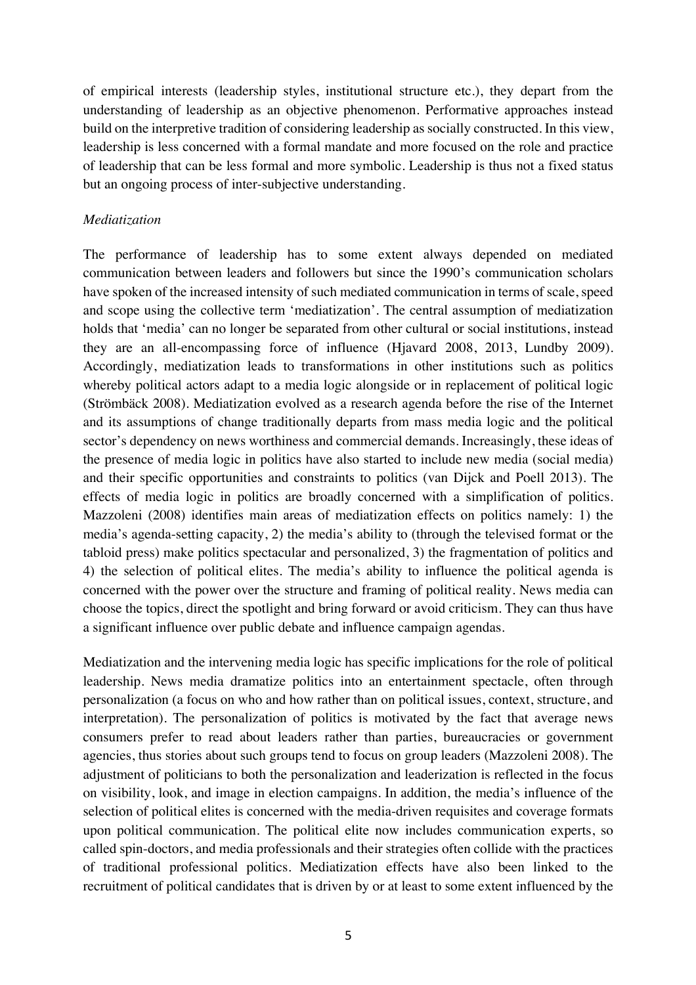of empirical interests (leadership styles, institutional structure etc.), they depart from the understanding of leadership as an objective phenomenon. Performative approaches instead build on the interpretive tradition of considering leadership as socially constructed. In this view, leadership is less concerned with a formal mandate and more focused on the role and practice of leadership that can be less formal and more symbolic. Leadership is thus not a fixed status but an ongoing process of inter-subjective understanding.

#### *Mediatization*

The performance of leadership has to some extent always depended on mediated communication between leaders and followers but since the 1990's communication scholars have spoken of the increased intensity of such mediated communication in terms of scale, speed and scope using the collective term 'mediatization'. The central assumption of mediatization holds that 'media' can no longer be separated from other cultural or social institutions, instead they are an all-encompassing force of influence (Hjavard 2008, 2013, Lundby 2009). Accordingly, mediatization leads to transformations in other institutions such as politics whereby political actors adapt to a media logic alongside or in replacement of political logic (Strömbäck 2008). Mediatization evolved as a research agenda before the rise of the Internet and its assumptions of change traditionally departs from mass media logic and the political sector's dependency on news worthiness and commercial demands. Increasingly, these ideas of the presence of media logic in politics have also started to include new media (social media) and their specific opportunities and constraints to politics (van Dijck and Poell 2013). The effects of media logic in politics are broadly concerned with a simplification of politics. Mazzoleni (2008) identifies main areas of mediatization effects on politics namely: 1) the media's agenda-setting capacity, 2) the media's ability to (through the televised format or the tabloid press) make politics spectacular and personalized, 3) the fragmentation of politics and 4) the selection of political elites. The media's ability to influence the political agenda is concerned with the power over the structure and framing of political reality. News media can choose the topics, direct the spotlight and bring forward or avoid criticism. They can thus have a significant influence over public debate and influence campaign agendas.

Mediatization and the intervening media logic has specific implications for the role of political leadership. News media dramatize politics into an entertainment spectacle, often through personalization (a focus on who and how rather than on political issues, context, structure, and interpretation). The personalization of politics is motivated by the fact that average news consumers prefer to read about leaders rather than parties, bureaucracies or government agencies, thus stories about such groups tend to focus on group leaders (Mazzoleni 2008). The adjustment of politicians to both the personalization and leaderization is reflected in the focus on visibility, look, and image in election campaigns. In addition, the media's influence of the selection of political elites is concerned with the media-driven requisites and coverage formats upon political communication. The political elite now includes communication experts, so called spin-doctors, and media professionals and their strategies often collide with the practices of traditional professional politics. Mediatization effects have also been linked to the recruitment of political candidates that is driven by or at least to some extent influenced by the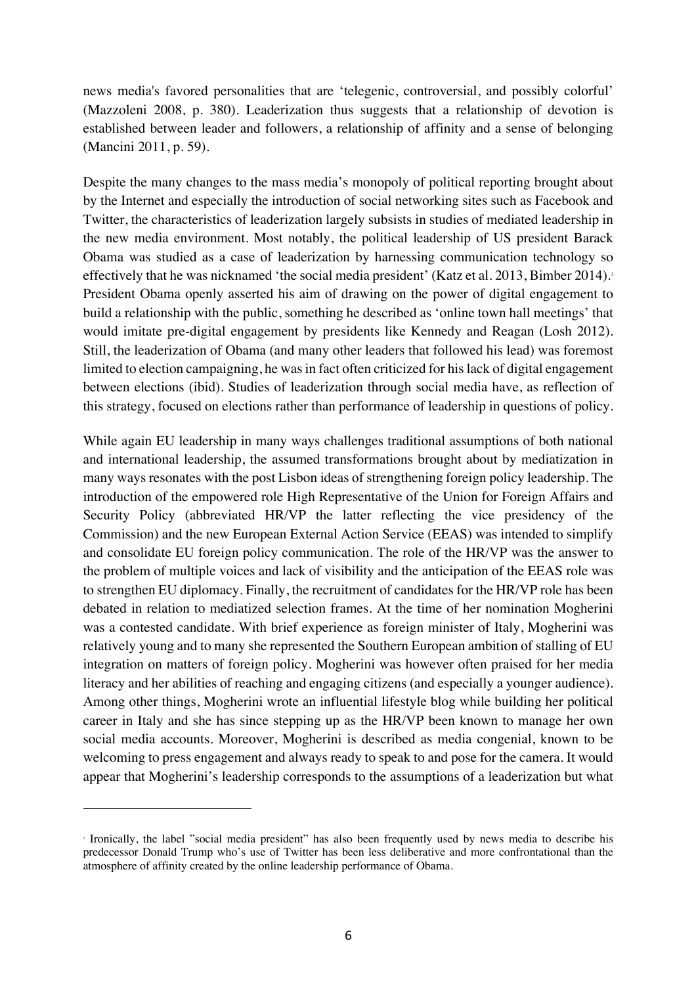news media's favored personalities that are 'telegenic, controversial, and possibly colorful' (Mazzoleni 2008, p. 380). Leaderization thus suggests that a relationship of devotion is established between leader and followers, a relationship of affinity and a sense of belonging (Mancini 2011, p. 59).

Despite the many changes to the mass media's monopoly of political reporting brought about by the Internet and especially the introduction of social networking sites such as Facebook and Twitter, the characteristics of leaderization largely subsists in studies of mediated leadership in the new media environment. Most notably, the political leadership of US president Barack Obama was studied as a case of leaderization by harnessing communication technology so effectively that he was nicknamed 'the social media president' (Katz et al. 2013, Bimber 2014). 3 President Obama openly asserted his aim of drawing on the power of digital engagement to build a relationship with the public, something he described as 'online town hall meetings' that would imitate pre-digital engagement by presidents like Kennedy and Reagan (Losh 2012). Still, the leaderization of Obama (and many other leaders that followed his lead) was foremost limited to election campaigning, he was in fact often criticized for his lack of digital engagement between elections (ibid). Studies of leaderization through social media have, as reflection of this strategy, focused on elections rather than performance of leadership in questions of policy.

While again EU leadership in many ways challenges traditional assumptions of both national and international leadership, the assumed transformations brought about by mediatization in many ways resonates with the post Lisbon ideas of strengthening foreign policy leadership. The introduction of the empowered role High Representative of the Union for Foreign Affairs and Security Policy (abbreviated HR/VP the latter reflecting the vice presidency of the Commission) and the new European External Action Service (EEAS) was intended to simplify and consolidate EU foreign policy communication. The role of the HR/VP was the answer to the problem of multiple voices and lack of visibility and the anticipation of the EEAS role was to strengthen EU diplomacy. Finally, the recruitment of candidates for the HR/VP role has been debated in relation to mediatized selection frames. At the time of her nomination Mogherini was a contested candidate. With brief experience as foreign minister of Italy, Mogherini was relatively young and to many she represented the Southern European ambition of stalling of EU integration on matters of foreign policy. Mogherini was however often praised for her media literacy and her abilities of reaching and engaging citizens (and especially a younger audience). Among other things, Mogherini wrote an influential lifestyle blog while building her political career in Italy and she has since stepping up as the HR/VP been known to manage her own social media accounts. Moreover, Mogherini is described as media congenial, known to be welcoming to press engagement and always ready to speak to and pose for the camera. It would appear that Mogherini's leadership corresponds to the assumptions of a leaderization but what

 $\overline{a}$ 

<sup>3</sup> Ironically, the label "social media president" has also been frequently used by news media to describe his predecessor Donald Trump who's use of Twitter has been less deliberative and more confrontational than the atmosphere of affinity created by the online leadership performance of Obama.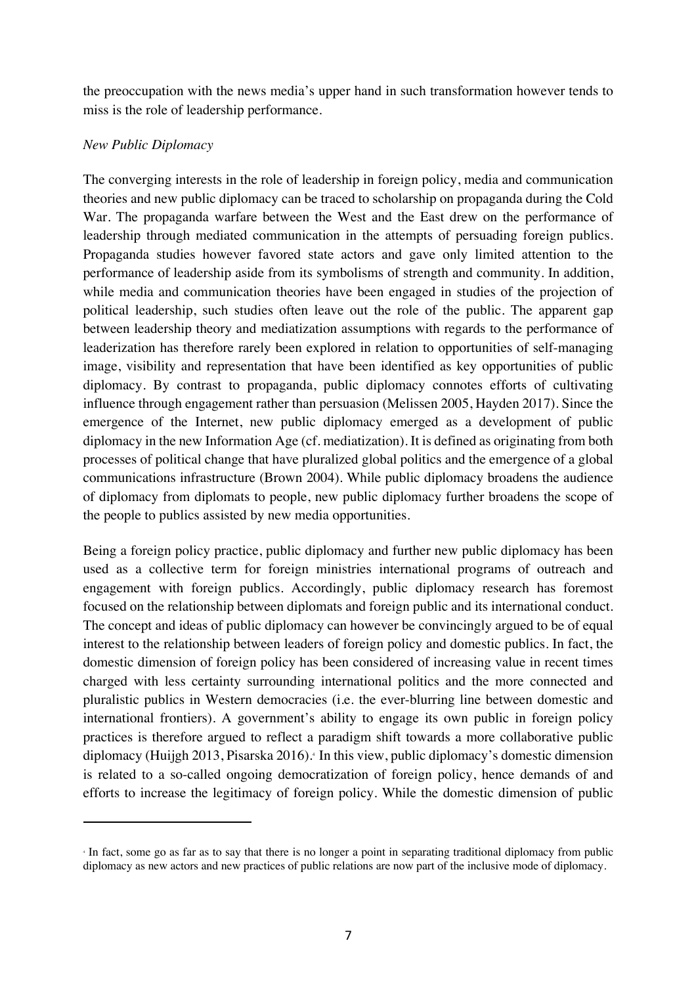the preoccupation with the news media's upper hand in such transformation however tends to miss is the role of leadership performance.

#### *New Public Diplomacy*

 $\overline{a}$ 

The converging interests in the role of leadership in foreign policy, media and communication theories and new public diplomacy can be traced to scholarship on propaganda during the Cold War. The propaganda warfare between the West and the East drew on the performance of leadership through mediated communication in the attempts of persuading foreign publics. Propaganda studies however favored state actors and gave only limited attention to the performance of leadership aside from its symbolisms of strength and community. In addition, while media and communication theories have been engaged in studies of the projection of political leadership, such studies often leave out the role of the public. The apparent gap between leadership theory and mediatization assumptions with regards to the performance of leaderization has therefore rarely been explored in relation to opportunities of self-managing image, visibility and representation that have been identified as key opportunities of public diplomacy. By contrast to propaganda, public diplomacy connotes efforts of cultivating influence through engagement rather than persuasion (Melissen 2005, Hayden 2017). Since the emergence of the Internet, new public diplomacy emerged as a development of public diplomacy in the new Information Age (cf. mediatization). It is defined as originating from both processes of political change that have pluralized global politics and the emergence of a global communications infrastructure (Brown 2004). While public diplomacy broadens the audience of diplomacy from diplomats to people, new public diplomacy further broadens the scope of the people to publics assisted by new media opportunities.

Being a foreign policy practice, public diplomacy and further new public diplomacy has been used as a collective term for foreign ministries international programs of outreach and engagement with foreign publics. Accordingly, public diplomacy research has foremost focused on the relationship between diplomats and foreign public and its international conduct. The concept and ideas of public diplomacy can however be convincingly argued to be of equal interest to the relationship between leaders of foreign policy and domestic publics. In fact, the domestic dimension of foreign policy has been considered of increasing value in recent times charged with less certainty surrounding international politics and the more connected and pluralistic publics in Western democracies (i.e. the ever-blurring line between domestic and international frontiers). A government's ability to engage its own public in foreign policy practices is therefore argued to reflect a paradigm shift towards a more collaborative public diplomacy (Huijgh 2013, Pisarska 2016). <sup>4</sup> In this view, public diplomacy's domestic dimension is related to a so-called ongoing democratization of foreign policy, hence demands of and efforts to increase the legitimacy of foreign policy. While the domestic dimension of public

<sup>4</sup> In fact, some go as far as to say that there is no longer a point in separating traditional diplomacy from public diplomacy as new actors and new practices of public relations are now part of the inclusive mode of diplomacy.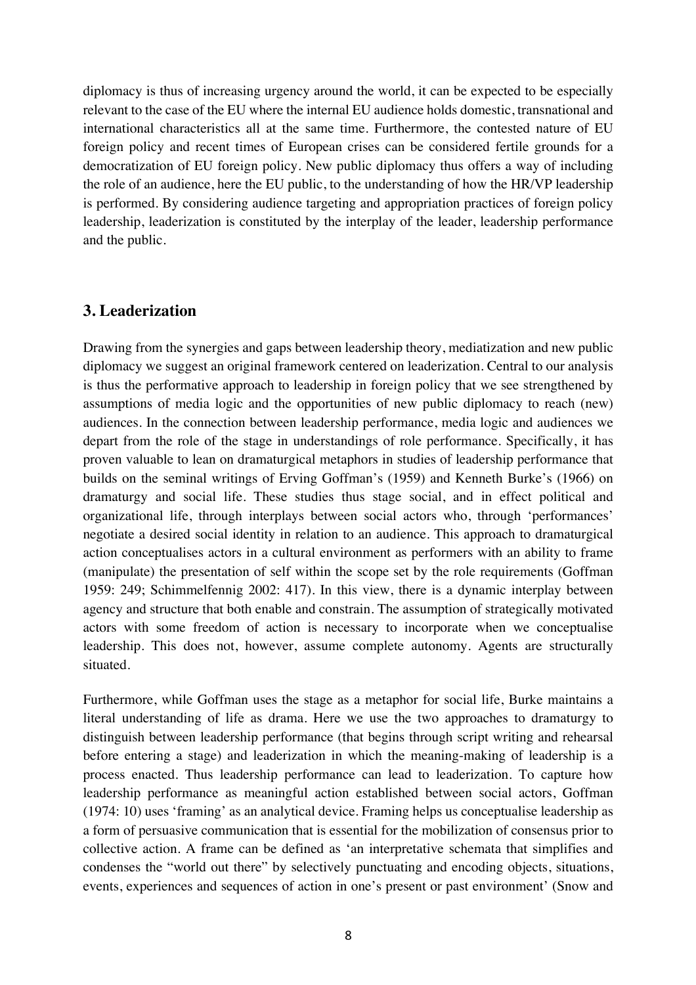diplomacy is thus of increasing urgency around the world, it can be expected to be especially relevant to the case of the EU where the internal EU audience holds domestic, transnational and international characteristics all at the same time. Furthermore, the contested nature of EU foreign policy and recent times of European crises can be considered fertile grounds for a democratization of EU foreign policy. New public diplomacy thus offers a way of including the role of an audience, here the EU public, to the understanding of how the HR/VP leadership is performed. By considering audience targeting and appropriation practices of foreign policy leadership, leaderization is constituted by the interplay of the leader, leadership performance and the public.

## **3. Leaderization**

Drawing from the synergies and gaps between leadership theory, mediatization and new public diplomacy we suggest an original framework centered on leaderization. Central to our analysis is thus the performative approach to leadership in foreign policy that we see strengthened by assumptions of media logic and the opportunities of new public diplomacy to reach (new) audiences. In the connection between leadership performance, media logic and audiences we depart from the role of the stage in understandings of role performance. Specifically, it has proven valuable to lean on dramaturgical metaphors in studies of leadership performance that builds on the seminal writings of Erving Goffman's (1959) and Kenneth Burke's (1966) on dramaturgy and social life. These studies thus stage social, and in effect political and organizational life, through interplays between social actors who, through 'performances' negotiate a desired social identity in relation to an audience. This approach to dramaturgical action conceptualises actors in a cultural environment as performers with an ability to frame (manipulate) the presentation of self within the scope set by the role requirements (Goffman 1959: 249; Schimmelfennig 2002: 417). In this view, there is a dynamic interplay between agency and structure that both enable and constrain. The assumption of strategically motivated actors with some freedom of action is necessary to incorporate when we conceptualise leadership. This does not, however, assume complete autonomy. Agents are structurally situated.

Furthermore, while Goffman uses the stage as a metaphor for social life, Burke maintains a literal understanding of life as drama. Here we use the two approaches to dramaturgy to distinguish between leadership performance (that begins through script writing and rehearsal before entering a stage) and leaderization in which the meaning-making of leadership is a process enacted. Thus leadership performance can lead to leaderization. To capture how leadership performance as meaningful action established between social actors, Goffman (1974: 10) uses 'framing' as an analytical device. Framing helps us conceptualise leadership as a form of persuasive communication that is essential for the mobilization of consensus prior to collective action. A frame can be defined as 'an interpretative schemata that simplifies and condenses the "world out there" by selectively punctuating and encoding objects, situations, events, experiences and sequences of action in one's present or past environment' (Snow and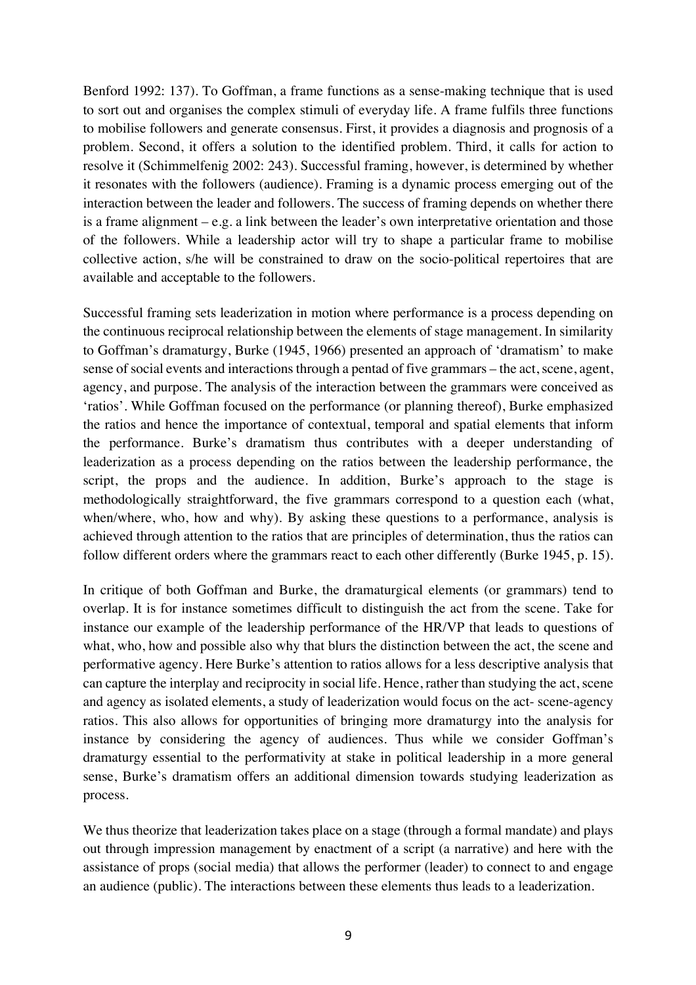Benford 1992: 137). To Goffman, a frame functions as a sense-making technique that is used to sort out and organises the complex stimuli of everyday life. A frame fulfils three functions to mobilise followers and generate consensus. First, it provides a diagnosis and prognosis of a problem. Second, it offers a solution to the identified problem. Third, it calls for action to resolve it (Schimmelfenig 2002: 243). Successful framing, however, is determined by whether it resonates with the followers (audience). Framing is a dynamic process emerging out of the interaction between the leader and followers. The success of framing depends on whether there is a frame alignment – e.g. a link between the leader's own interpretative orientation and those of the followers. While a leadership actor will try to shape a particular frame to mobilise collective action, s/he will be constrained to draw on the socio-political repertoires that are available and acceptable to the followers.

Successful framing sets leaderization in motion where performance is a process depending on the continuous reciprocal relationship between the elements of stage management. In similarity to Goffman's dramaturgy, Burke (1945, 1966) presented an approach of 'dramatism' to make sense of social events and interactions through a pentad of five grammars – the act, scene, agent, agency, and purpose. The analysis of the interaction between the grammars were conceived as 'ratios'. While Goffman focused on the performance (or planning thereof), Burke emphasized the ratios and hence the importance of contextual, temporal and spatial elements that inform the performance. Burke's dramatism thus contributes with a deeper understanding of leaderization as a process depending on the ratios between the leadership performance, the script, the props and the audience. In addition, Burke's approach to the stage is methodologically straightforward, the five grammars correspond to a question each (what, when/where, who, how and why). By asking these questions to a performance, analysis is achieved through attention to the ratios that are principles of determination, thus the ratios can follow different orders where the grammars react to each other differently (Burke 1945, p. 15).

In critique of both Goffman and Burke, the dramaturgical elements (or grammars) tend to overlap. It is for instance sometimes difficult to distinguish the act from the scene. Take for instance our example of the leadership performance of the HR/VP that leads to questions of what, who, how and possible also why that blurs the distinction between the act, the scene and performative agency. Here Burke's attention to ratios allows for a less descriptive analysis that can capture the interplay and reciprocity in social life. Hence, rather than studying the act, scene and agency as isolated elements, a study of leaderization would focus on the act- scene-agency ratios. This also allows for opportunities of bringing more dramaturgy into the analysis for instance by considering the agency of audiences. Thus while we consider Goffman's dramaturgy essential to the performativity at stake in political leadership in a more general sense, Burke's dramatism offers an additional dimension towards studying leaderization as process.

We thus theorize that leaderization takes place on a stage (through a formal mandate) and plays out through impression management by enactment of a script (a narrative) and here with the assistance of props (social media) that allows the performer (leader) to connect to and engage an audience (public). The interactions between these elements thus leads to a leaderization.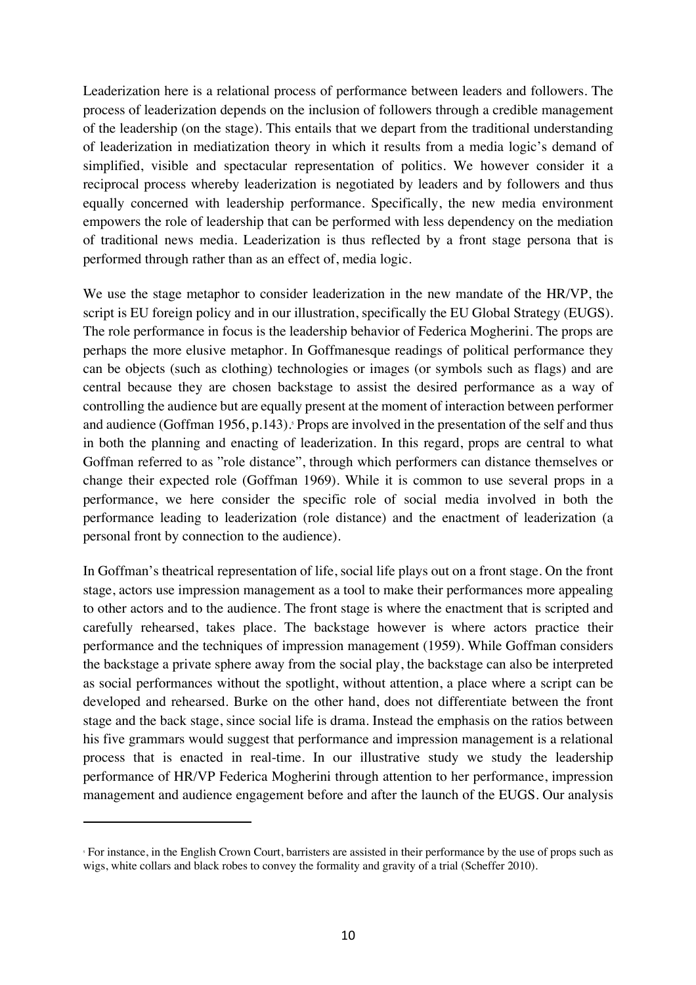Leaderization here is a relational process of performance between leaders and followers. The process of leaderization depends on the inclusion of followers through a credible management of the leadership (on the stage). This entails that we depart from the traditional understanding of leaderization in mediatization theory in which it results from a media logic's demand of simplified, visible and spectacular representation of politics. We however consider it a reciprocal process whereby leaderization is negotiated by leaders and by followers and thus equally concerned with leadership performance. Specifically, the new media environment empowers the role of leadership that can be performed with less dependency on the mediation of traditional news media. Leaderization is thus reflected by a front stage persona that is performed through rather than as an effect of, media logic.

We use the stage metaphor to consider leaderization in the new mandate of the HR/VP, the script is EU foreign policy and in our illustration, specifically the EU Global Strategy (EUGS). The role performance in focus is the leadership behavior of Federica Mogherini. The props are perhaps the more elusive metaphor. In Goffmanesque readings of political performance they can be objects (such as clothing) technologies or images (or symbols such as flags) and are central because they are chosen backstage to assist the desired performance as a way of controlling the audience but are equally present at the moment of interaction between performer and audience (Goffman 1956, p.143). Props are involved in the presentation of the self and thus in both the planning and enacting of leaderization. In this regard, props are central to what Goffman referred to as "role distance", through which performers can distance themselves or change their expected role (Goffman 1969). While it is common to use several props in a performance, we here consider the specific role of social media involved in both the performance leading to leaderization (role distance) and the enactment of leaderization (a personal front by connection to the audience).

In Goffman's theatrical representation of life, social life plays out on a front stage. On the front stage, actors use impression management as a tool to make their performances more appealing to other actors and to the audience. The front stage is where the enactment that is scripted and carefully rehearsed, takes place. The backstage however is where actors practice their performance and the techniques of impression management (1959). While Goffman considers the backstage a private sphere away from the social play, the backstage can also be interpreted as social performances without the spotlight, without attention, a place where a script can be developed and rehearsed. Burke on the other hand, does not differentiate between the front stage and the back stage, since social life is drama. Instead the emphasis on the ratios between his five grammars would suggest that performance and impression management is a relational process that is enacted in real-time. In our illustrative study we study the leadership performance of HR/VP Federica Mogherini through attention to her performance, impression management and audience engagement before and after the launch of the EUGS. Our analysis

 $\overline{a}$ 

<sup>5</sup> For instance, in the English Crown Court, barristers are assisted in their performance by the use of props such as wigs, white collars and black robes to convey the formality and gravity of a trial (Scheffer 2010).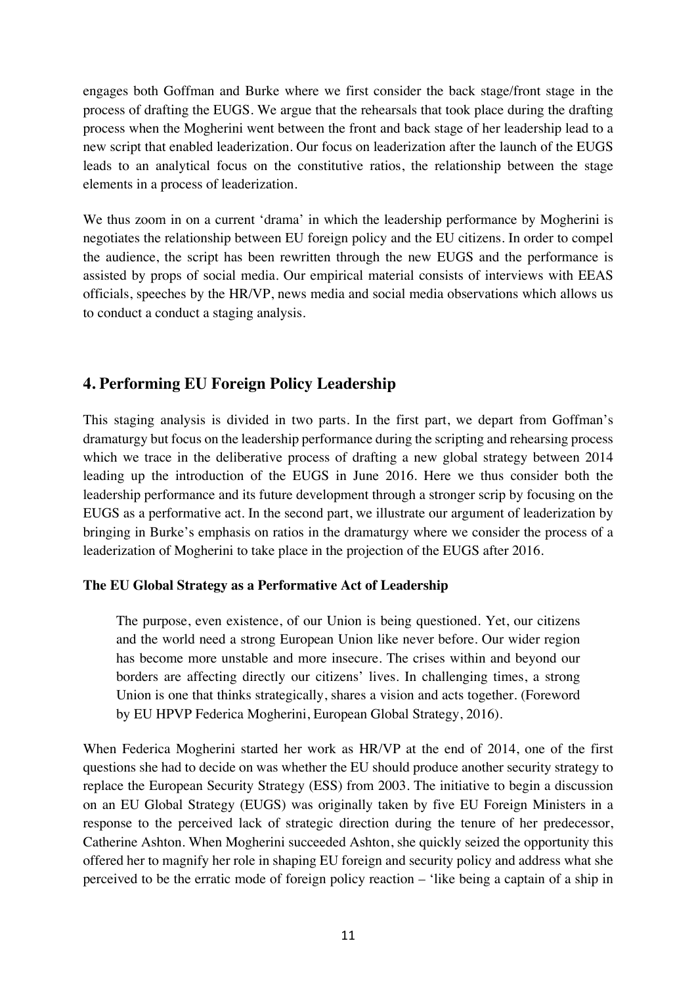engages both Goffman and Burke where we first consider the back stage/front stage in the process of drafting the EUGS. We argue that the rehearsals that took place during the drafting process when the Mogherini went between the front and back stage of her leadership lead to a new script that enabled leaderization. Our focus on leaderization after the launch of the EUGS leads to an analytical focus on the constitutive ratios, the relationship between the stage elements in a process of leaderization.

We thus zoom in on a current 'drama' in which the leadership performance by Mogherini is negotiates the relationship between EU foreign policy and the EU citizens. In order to compel the audience, the script has been rewritten through the new EUGS and the performance is assisted by props of social media. Our empirical material consists of interviews with EEAS officials, speeches by the HR/VP, news media and social media observations which allows us to conduct a conduct a staging analysis.

## **4. Performing EU Foreign Policy Leadership**

This staging analysis is divided in two parts. In the first part, we depart from Goffman's dramaturgy but focus on the leadership performance during the scripting and rehearsing process which we trace in the deliberative process of drafting a new global strategy between 2014 leading up the introduction of the EUGS in June 2016. Here we thus consider both the leadership performance and its future development through a stronger scrip by focusing on the EUGS as a performative act. In the second part, we illustrate our argument of leaderization by bringing in Burke's emphasis on ratios in the dramaturgy where we consider the process of a leaderization of Mogherini to take place in the projection of the EUGS after 2016.

## **The EU Global Strategy as a Performative Act of Leadership**

The purpose, even existence, of our Union is being questioned. Yet, our citizens and the world need a strong European Union like never before. Our wider region has become more unstable and more insecure. The crises within and beyond our borders are affecting directly our citizens' lives. In challenging times, a strong Union is one that thinks strategically, shares a vision and acts together. (Foreword by EU HPVP Federica Mogherini, European Global Strategy, 2016).

When Federica Mogherini started her work as HR/VP at the end of 2014, one of the first questions she had to decide on was whether the EU should produce another security strategy to replace the European Security Strategy (ESS) from 2003. The initiative to begin a discussion on an EU Global Strategy (EUGS) was originally taken by five EU Foreign Ministers in a response to the perceived lack of strategic direction during the tenure of her predecessor, Catherine Ashton. When Mogherini succeeded Ashton, she quickly seized the opportunity this offered her to magnify her role in shaping EU foreign and security policy and address what she perceived to be the erratic mode of foreign policy reaction – 'like being a captain of a ship in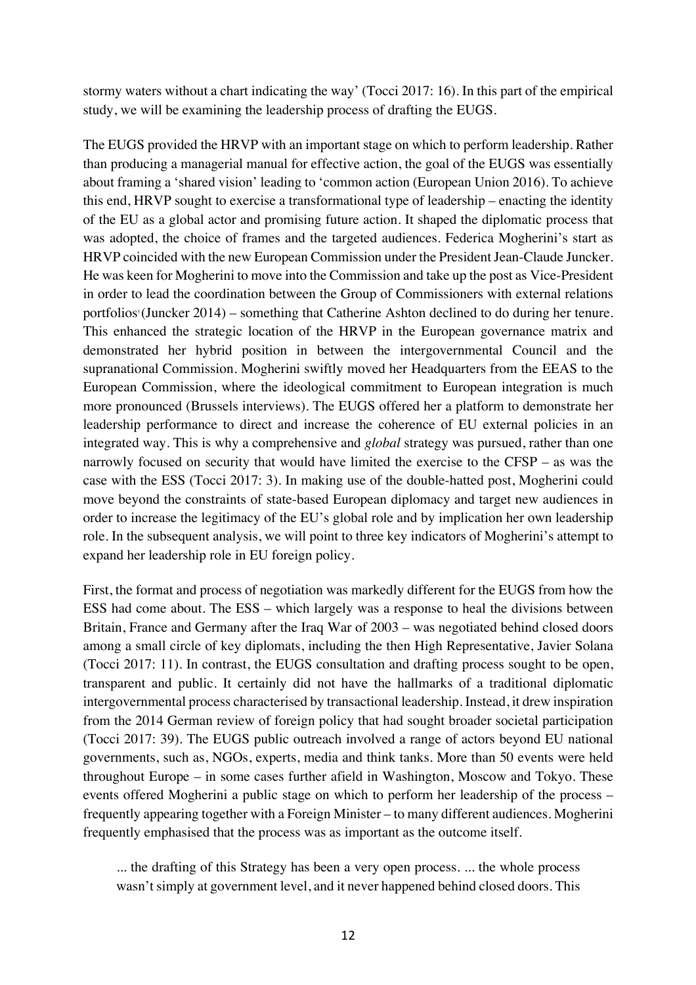stormy waters without a chart indicating the way' (Tocci 2017: 16). In this part of the empirical study, we will be examining the leadership process of drafting the EUGS.

The EUGS provided the HRVP with an important stage on which to perform leadership. Rather than producing a managerial manual for effective action, the goal of the EUGS was essentially about framing a 'shared vision' leading to 'common action (European Union 2016). To achieve this end, HRVP sought to exercise a transformational type of leadership – enacting the identity of the EU as a global actor and promising future action. It shaped the diplomatic process that was adopted, the choice of frames and the targeted audiences. Federica Mogherini's start as HRVP coincided with the new European Commission under the President Jean-Claude Juncker. He was keen for Mogherini to move into the Commission and take up the post as Vice-President in order to lead the coordination between the Group of Commissioners with external relations portfolios<sup>5</sup> (Juncker 2014) – something that Catherine Ashton declined to do during her tenure. This enhanced the strategic location of the HRVP in the European governance matrix and demonstrated her hybrid position in between the intergovernmental Council and the supranational Commission. Mogherini swiftly moved her Headquarters from the EEAS to the European Commission, where the ideological commitment to European integration is much more pronounced (Brussels interviews). The EUGS offered her a platform to demonstrate her leadership performance to direct and increase the coherence of EU external policies in an integrated way. This is why a comprehensive and *global* strategy was pursued, rather than one narrowly focused on security that would have limited the exercise to the CFSP – as was the case with the ESS (Tocci 2017: 3). In making use of the double-hatted post, Mogherini could move beyond the constraints of state-based European diplomacy and target new audiences in order to increase the legitimacy of the EU's global role and by implication her own leadership role. In the subsequent analysis, we will point to three key indicators of Mogherini's attempt to expand her leadership role in EU foreign policy.

First, the format and process of negotiation was markedly different for the EUGS from how the ESS had come about. The ESS – which largely was a response to heal the divisions between Britain, France and Germany after the Iraq War of 2003 – was negotiated behind closed doors among a small circle of key diplomats, including the then High Representative, Javier Solana (Tocci 2017: 11). In contrast, the EUGS consultation and drafting process sought to be open, transparent and public. It certainly did not have the hallmarks of a traditional diplomatic intergovernmental process characterised by transactional leadership. Instead, it drew inspiration from the 2014 German review of foreign policy that had sought broader societal participation (Tocci 2017: 39). The EUGS public outreach involved a range of actors beyond EU national governments, such as, NGOs, experts, media and think tanks. More than 50 events were held throughout Europe – in some cases further afield in Washington, Moscow and Tokyo. These events offered Mogherini a public stage on which to perform her leadership of the process – frequently appearing together with a Foreign Minister – to many different audiences. Mogherini frequently emphasised that the process was as important as the outcome itself.

... the drafting of this Strategy has been a very open process. ... the whole process wasn't simply at government level, and it never happened behind closed doors. This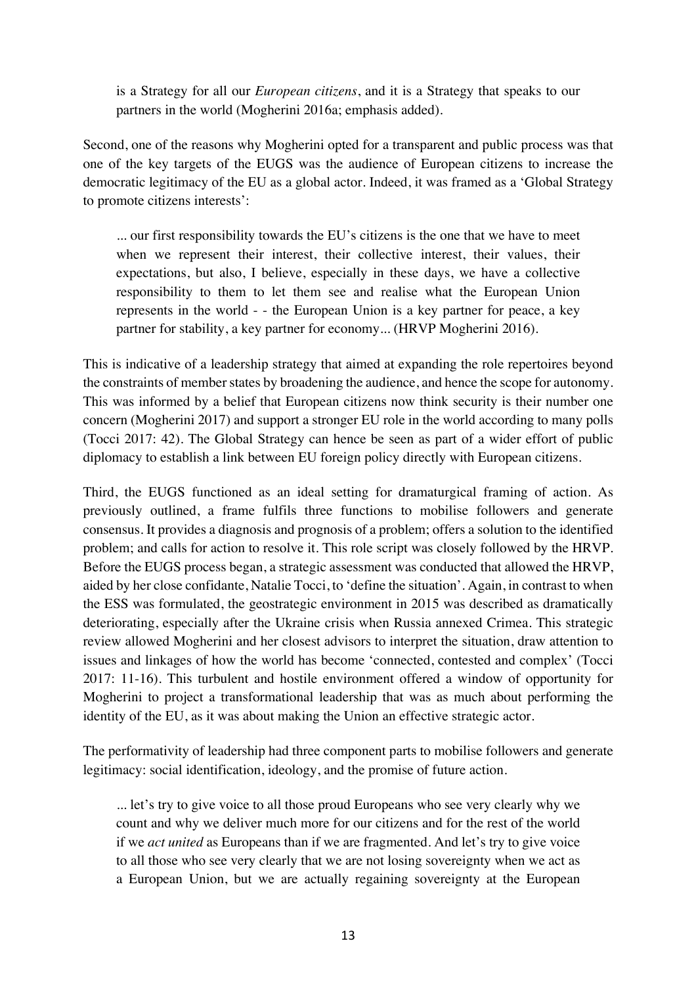is a Strategy for all our *European citizens*, and it is a Strategy that speaks to our partners in the world (Mogherini 2016a; emphasis added).

Second, one of the reasons why Mogherini opted for a transparent and public process was that one of the key targets of the EUGS was the audience of European citizens to increase the democratic legitimacy of the EU as a global actor. Indeed, it was framed as a 'Global Strategy to promote citizens interests':

... our first responsibility towards the EU's citizens is the one that we have to meet when we represent their interest, their collective interest, their values, their expectations, but also, I believe, especially in these days, we have a collective responsibility to them to let them see and realise what the European Union represents in the world - - the European Union is a key partner for peace, a key partner for stability, a key partner for economy... (HRVP Mogherini 2016).

This is indicative of a leadership strategy that aimed at expanding the role repertoires beyond the constraints of member states by broadening the audience, and hence the scope for autonomy. This was informed by a belief that European citizens now think security is their number one concern (Mogherini 2017) and support a stronger EU role in the world according to many polls (Tocci 2017: 42). The Global Strategy can hence be seen as part of a wider effort of public diplomacy to establish a link between EU foreign policy directly with European citizens.

Third, the EUGS functioned as an ideal setting for dramaturgical framing of action. As previously outlined, a frame fulfils three functions to mobilise followers and generate consensus. It provides a diagnosis and prognosis of a problem; offers a solution to the identified problem; and calls for action to resolve it. This role script was closely followed by the HRVP. Before the EUGS process began, a strategic assessment was conducted that allowed the HRVP, aided by her close confidante, Natalie Tocci, to 'define the situation'. Again, in contrast to when the ESS was formulated, the geostrategic environment in 2015 was described as dramatically deteriorating, especially after the Ukraine crisis when Russia annexed Crimea. This strategic review allowed Mogherini and her closest advisors to interpret the situation, draw attention to issues and linkages of how the world has become 'connected, contested and complex' (Tocci 2017: 11-16). This turbulent and hostile environment offered a window of opportunity for Mogherini to project a transformational leadership that was as much about performing the identity of the EU, as it was about making the Union an effective strategic actor.

The performativity of leadership had three component parts to mobilise followers and generate legitimacy: social identification, ideology, and the promise of future action.

... let's try to give voice to all those proud Europeans who see very clearly why we count and why we deliver much more for our citizens and for the rest of the world if we *act united* as Europeans than if we are fragmented. And let's try to give voice to all those who see very clearly that we are not losing sovereignty when we act as a European Union, but we are actually regaining sovereignty at the European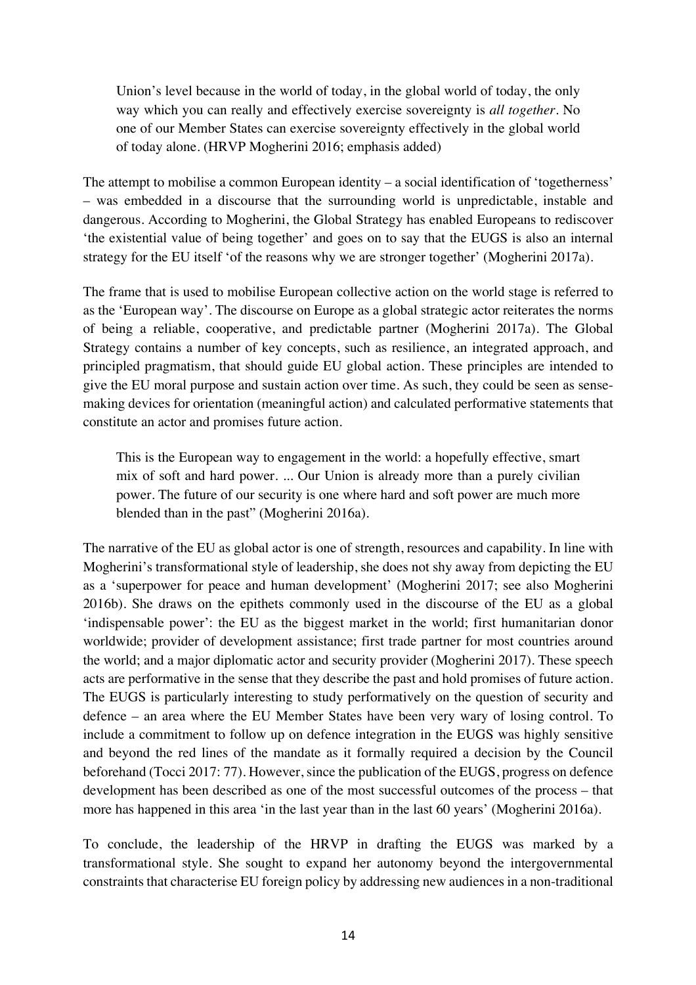Union's level because in the world of today, in the global world of today, the only way which you can really and effectively exercise sovereignty is *all together*. No one of our Member States can exercise sovereignty effectively in the global world of today alone. (HRVP Mogherini 2016; emphasis added)

The attempt to mobilise a common European identity – a social identification of 'togetherness' – was embedded in a discourse that the surrounding world is unpredictable, instable and dangerous. According to Mogherini, the Global Strategy has enabled Europeans to rediscover 'the existential value of being together' and goes on to say that the EUGS is also an internal strategy for the EU itself 'of the reasons why we are stronger together' (Mogherini 2017a).

The frame that is used to mobilise European collective action on the world stage is referred to as the 'European way'. The discourse on Europe as a global strategic actor reiterates the norms of being a reliable, cooperative, and predictable partner (Mogherini 2017a). The Global Strategy contains a number of key concepts, such as resilience, an integrated approach, and principled pragmatism, that should guide EU global action. These principles are intended to give the EU moral purpose and sustain action over time. As such, they could be seen as sensemaking devices for orientation (meaningful action) and calculated performative statements that constitute an actor and promises future action.

This is the European way to engagement in the world: a hopefully effective, smart mix of soft and hard power. ... Our Union is already more than a purely civilian power. The future of our security is one where hard and soft power are much more blended than in the past" (Mogherini 2016a).

The narrative of the EU as global actor is one of strength, resources and capability. In line with Mogherini's transformational style of leadership, she does not shy away from depicting the EU as a 'superpower for peace and human development' (Mogherini 2017; see also Mogherini 2016b). She draws on the epithets commonly used in the discourse of the EU as a global 'indispensable power': the EU as the biggest market in the world; first humanitarian donor worldwide; provider of development assistance; first trade partner for most countries around the world; and a major diplomatic actor and security provider (Mogherini 2017). These speech acts are performative in the sense that they describe the past and hold promises of future action. The EUGS is particularly interesting to study performatively on the question of security and defence – an area where the EU Member States have been very wary of losing control. To include a commitment to follow up on defence integration in the EUGS was highly sensitive and beyond the red lines of the mandate as it formally required a decision by the Council beforehand (Tocci 2017: 77). However, since the publication of the EUGS, progress on defence development has been described as one of the most successful outcomes of the process – that more has happened in this area 'in the last year than in the last 60 years' (Mogherini 2016a).

To conclude, the leadership of the HRVP in drafting the EUGS was marked by a transformational style. She sought to expand her autonomy beyond the intergovernmental constraints that characterise EU foreign policy by addressing new audiences in a non-traditional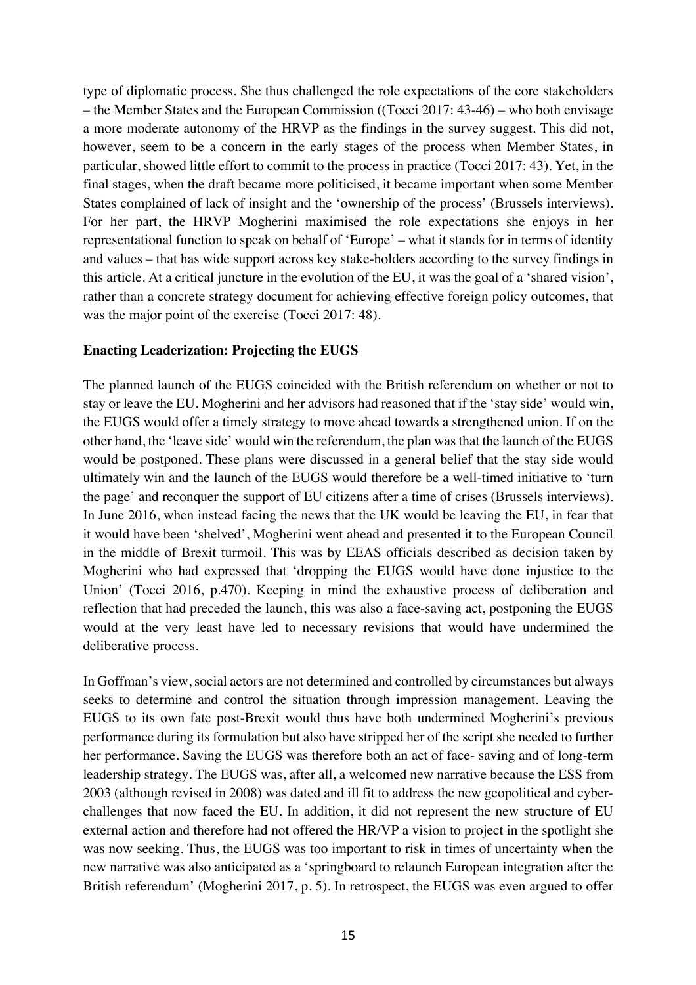type of diplomatic process. She thus challenged the role expectations of the core stakeholders – the Member States and the European Commission ((Tocci 2017: 43-46) – who both envisage a more moderate autonomy of the HRVP as the findings in the survey suggest. This did not, however, seem to be a concern in the early stages of the process when Member States, in particular, showed little effort to commit to the process in practice (Tocci 2017: 43). Yet, in the final stages, when the draft became more politicised, it became important when some Member States complained of lack of insight and the 'ownership of the process' (Brussels interviews). For her part, the HRVP Mogherini maximised the role expectations she enjoys in her representational function to speak on behalf of 'Europe' – what it stands for in terms of identity and values – that has wide support across key stake-holders according to the survey findings in this article. At a critical juncture in the evolution of the EU, it was the goal of a 'shared vision', rather than a concrete strategy document for achieving effective foreign policy outcomes, that was the major point of the exercise (Tocci 2017: 48).

#### **Enacting Leaderization: Projecting the EUGS**

The planned launch of the EUGS coincided with the British referendum on whether or not to stay or leave the EU. Mogherini and her advisors had reasoned that if the 'stay side' would win, the EUGS would offer a timely strategy to move ahead towards a strengthened union. If on the other hand, the 'leave side' would win the referendum, the plan was that the launch of the EUGS would be postponed. These plans were discussed in a general belief that the stay side would ultimately win and the launch of the EUGS would therefore be a well-timed initiative to 'turn the page' and reconquer the support of EU citizens after a time of crises (Brussels interviews). In June 2016, when instead facing the news that the UK would be leaving the EU, in fear that it would have been 'shelved', Mogherini went ahead and presented it to the European Council in the middle of Brexit turmoil. This was by EEAS officials described as decision taken by Mogherini who had expressed that 'dropping the EUGS would have done injustice to the Union' (Tocci 2016, p.470). Keeping in mind the exhaustive process of deliberation and reflection that had preceded the launch, this was also a face-saving act, postponing the EUGS would at the very least have led to necessary revisions that would have undermined the deliberative process.

In Goffman's view, social actors are not determined and controlled by circumstances but always seeks to determine and control the situation through impression management. Leaving the EUGS to its own fate post-Brexit would thus have both undermined Mogherini's previous performance during its formulation but also have stripped her of the script she needed to further her performance. Saving the EUGS was therefore both an act of face- saving and of long-term leadership strategy. The EUGS was, after all, a welcomed new narrative because the ESS from 2003 (although revised in 2008) was dated and ill fit to address the new geopolitical and cyberchallenges that now faced the EU. In addition, it did not represent the new structure of EU external action and therefore had not offered the HR/VP a vision to project in the spotlight she was now seeking. Thus, the EUGS was too important to risk in times of uncertainty when the new narrative was also anticipated as a 'springboard to relaunch European integration after the British referendum' (Mogherini 2017, p. 5). In retrospect, the EUGS was even argued to offer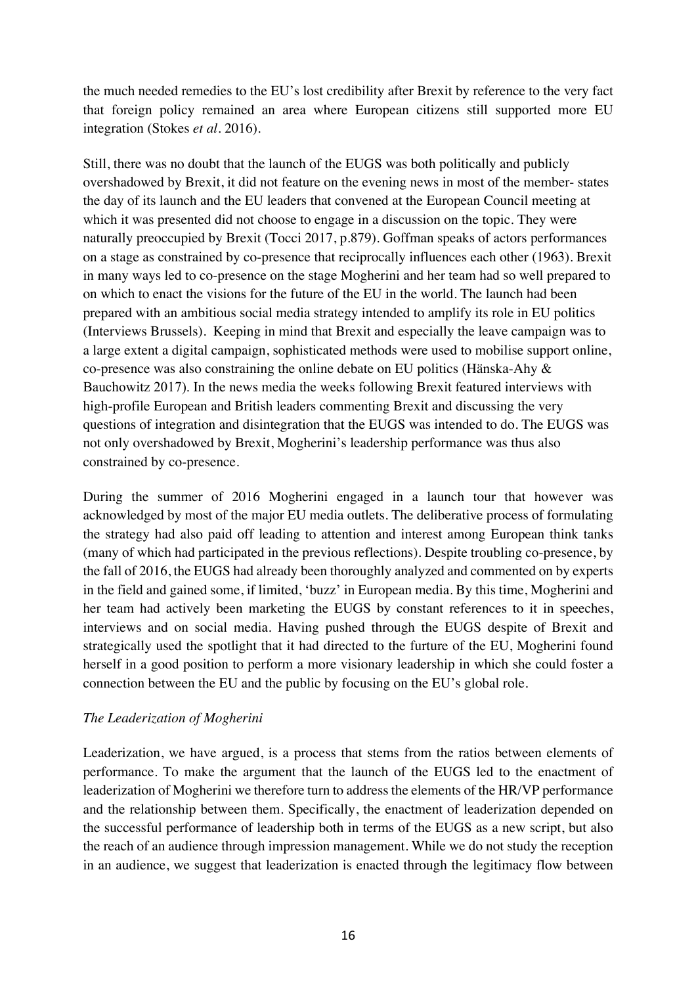the much needed remedies to the EU's lost credibility after Brexit by reference to the very fact that foreign policy remained an area where European citizens still supported more EU integration (Stokes *et al*. 2016).

Still, there was no doubt that the launch of the EUGS was both politically and publicly overshadowed by Brexit, it did not feature on the evening news in most of the member- states the day of its launch and the EU leaders that convened at the European Council meeting at which it was presented did not choose to engage in a discussion on the topic. They were naturally preoccupied by Brexit (Tocci 2017, p.879). Goffman speaks of actors performances on a stage as constrained by co-presence that reciprocally influences each other (1963). Brexit in many ways led to co-presence on the stage Mogherini and her team had so well prepared to on which to enact the visions for the future of the EU in the world. The launch had been prepared with an ambitious social media strategy intended to amplify its role in EU politics (Interviews Brussels). Keeping in mind that Brexit and especially the leave campaign was to a large extent a digital campaign, sophisticated methods were used to mobilise support online, co-presence was also constraining the online debate on EU politics (Hänska-Ahy & Bauchowitz 2017). In the news media the weeks following Brexit featured interviews with high-profile European and British leaders commenting Brexit and discussing the very questions of integration and disintegration that the EUGS was intended to do. The EUGS was not only overshadowed by Brexit, Mogherini's leadership performance was thus also constrained by co-presence.

During the summer of 2016 Mogherini engaged in a launch tour that however was acknowledged by most of the major EU media outlets. The deliberative process of formulating the strategy had also paid off leading to attention and interest among European think tanks (many of which had participated in the previous reflections). Despite troubling co-presence, by the fall of 2016, the EUGS had already been thoroughly analyzed and commented on by experts in the field and gained some, if limited, 'buzz' in European media. By this time, Mogherini and her team had actively been marketing the EUGS by constant references to it in speeches, interviews and on social media. Having pushed through the EUGS despite of Brexit and strategically used the spotlight that it had directed to the furture of the EU, Mogherini found herself in a good position to perform a more visionary leadership in which she could foster a connection between the EU and the public by focusing on the EU's global role.

## *The Leaderization of Mogherini*

Leaderization, we have argued, is a process that stems from the ratios between elements of performance. To make the argument that the launch of the EUGS led to the enactment of leaderization of Mogherini we therefore turn to address the elements of the HR/VP performance and the relationship between them. Specifically, the enactment of leaderization depended on the successful performance of leadership both in terms of the EUGS as a new script, but also the reach of an audience through impression management. While we do not study the reception in an audience, we suggest that leaderization is enacted through the legitimacy flow between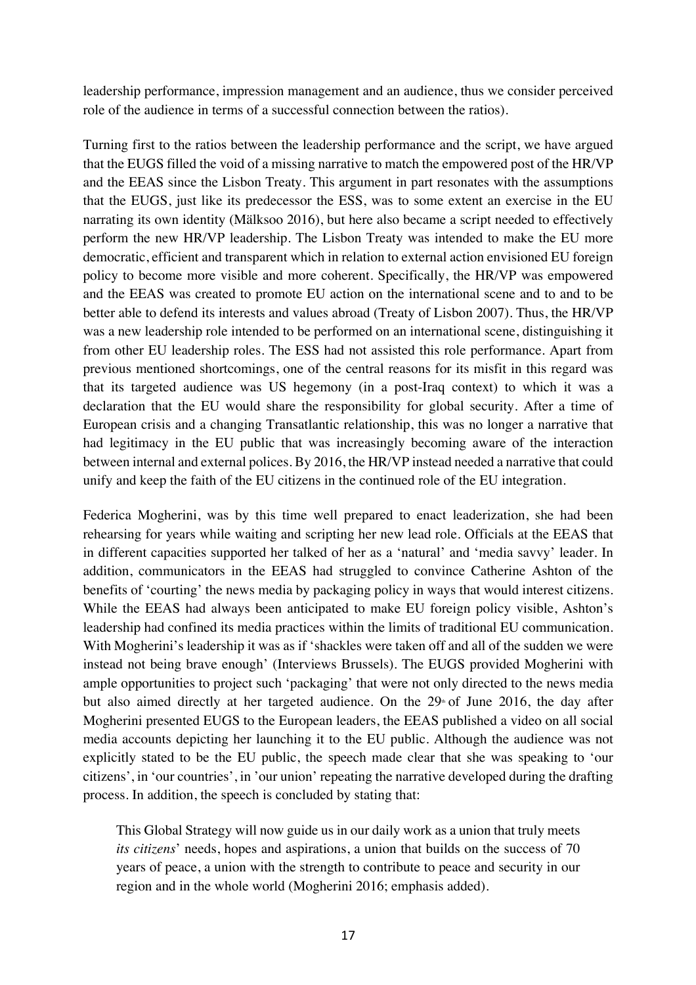leadership performance, impression management and an audience, thus we consider perceived role of the audience in terms of a successful connection between the ratios).

Turning first to the ratios between the leadership performance and the script, we have argued that the EUGS filled the void of a missing narrative to match the empowered post of the HR/VP and the EEAS since the Lisbon Treaty. This argument in part resonates with the assumptions that the EUGS, just like its predecessor the ESS, was to some extent an exercise in the EU narrating its own identity (Mälksoo 2016), but here also became a script needed to effectively perform the new HR/VP leadership. The Lisbon Treaty was intended to make the EU more democratic, efficient and transparent which in relation to external action envisioned EU foreign policy to become more visible and more coherent. Specifically, the HR/VP was empowered and the EEAS was created to promote EU action on the international scene and to and to be better able to defend its interests and values abroad (Treaty of Lisbon 2007). Thus, the HR/VP was a new leadership role intended to be performed on an international scene, distinguishing it from other EU leadership roles. The ESS had not assisted this role performance. Apart from previous mentioned shortcomings, one of the central reasons for its misfit in this regard was that its targeted audience was US hegemony (in a post-Iraq context) to which it was a declaration that the EU would share the responsibility for global security. After a time of European crisis and a changing Transatlantic relationship, this was no longer a narrative that had legitimacy in the EU public that was increasingly becoming aware of the interaction between internal and external polices. By 2016, the HR/VP instead needed a narrative that could unify and keep the faith of the EU citizens in the continued role of the EU integration.

Federica Mogherini, was by this time well prepared to enact leaderization, she had been rehearsing for years while waiting and scripting her new lead role. Officials at the EEAS that in different capacities supported her talked of her as a 'natural' and 'media savvy' leader. In addition, communicators in the EEAS had struggled to convince Catherine Ashton of the benefits of 'courting' the news media by packaging policy in ways that would interest citizens. While the EEAS had always been anticipated to make EU foreign policy visible, Ashton's leadership had confined its media practices within the limits of traditional EU communication. With Mogherini's leadership it was as if 'shackles were taken off and all of the sudden we were instead not being brave enough' (Interviews Brussels). The EUGS provided Mogherini with ample opportunities to project such 'packaging' that were not only directed to the news media but also aimed directly at her targeted audience. On the  $29<sup>th</sup>$  of June 2016, the day after Mogherini presented EUGS to the European leaders, the EEAS published a video on all social media accounts depicting her launching it to the EU public. Although the audience was not explicitly stated to be the EU public, the speech made clear that she was speaking to 'our citizens', in 'our countries', in 'our union' repeating the narrative developed during the drafting process. In addition, the speech is concluded by stating that:

This Global Strategy will now guide us in our daily work as a union that truly meets *its citizens*' needs, hopes and aspirations, a union that builds on the success of 70 years of peace, a union with the strength to contribute to peace and security in our region and in the whole world (Mogherini 2016; emphasis added).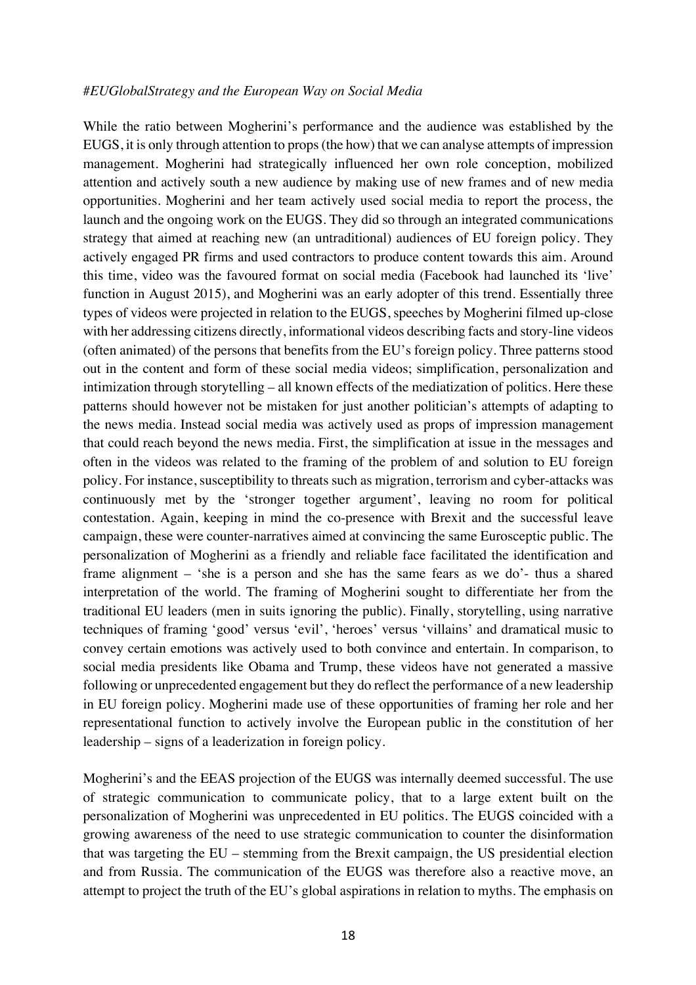#### *#EUGlobalStrategy and the European Way on Social Media*

While the ratio between Mogherini's performance and the audience was established by the EUGS, it is only through attention to props (the how) that we can analyse attempts of impression management. Mogherini had strategically influenced her own role conception, mobilized attention and actively south a new audience by making use of new frames and of new media opportunities. Mogherini and her team actively used social media to report the process, the launch and the ongoing work on the EUGS. They did so through an integrated communications strategy that aimed at reaching new (an untraditional) audiences of EU foreign policy. They actively engaged PR firms and used contractors to produce content towards this aim. Around this time, video was the favoured format on social media (Facebook had launched its 'live' function in August 2015), and Mogherini was an early adopter of this trend. Essentially three types of videos were projected in relation to the EUGS, speeches by Mogherini filmed up-close with her addressing citizens directly, informational videos describing facts and story-line videos (often animated) of the persons that benefits from the EU's foreign policy. Three patterns stood out in the content and form of these social media videos; simplification, personalization and intimization through storytelling – all known effects of the mediatization of politics. Here these patterns should however not be mistaken for just another politician's attempts of adapting to the news media. Instead social media was actively used as props of impression management that could reach beyond the news media. First, the simplification at issue in the messages and often in the videos was related to the framing of the problem of and solution to EU foreign policy. For instance, susceptibility to threats such as migration, terrorism and cyber-attacks was continuously met by the 'stronger together argument', leaving no room for political contestation. Again, keeping in mind the co-presence with Brexit and the successful leave campaign, these were counter-narratives aimed at convincing the same Eurosceptic public. The personalization of Mogherini as a friendly and reliable face facilitated the identification and frame alignment – 'she is a person and she has the same fears as we do'- thus a shared interpretation of the world. The framing of Mogherini sought to differentiate her from the traditional EU leaders (men in suits ignoring the public). Finally, storytelling, using narrative techniques of framing 'good' versus 'evil', 'heroes' versus 'villains' and dramatical music to convey certain emotions was actively used to both convince and entertain. In comparison, to social media presidents like Obama and Trump, these videos have not generated a massive following or unprecedented engagement but they do reflect the performance of a new leadership in EU foreign policy. Mogherini made use of these opportunities of framing her role and her representational function to actively involve the European public in the constitution of her leadership – signs of a leaderization in foreign policy.

Mogherini's and the EEAS projection of the EUGS was internally deemed successful. The use of strategic communication to communicate policy, that to a large extent built on the personalization of Mogherini was unprecedented in EU politics. The EUGS coincided with a growing awareness of the need to use strategic communication to counter the disinformation that was targeting the EU – stemming from the Brexit campaign, the US presidential election and from Russia. The communication of the EUGS was therefore also a reactive move, an attempt to project the truth of the EU's global aspirations in relation to myths. The emphasis on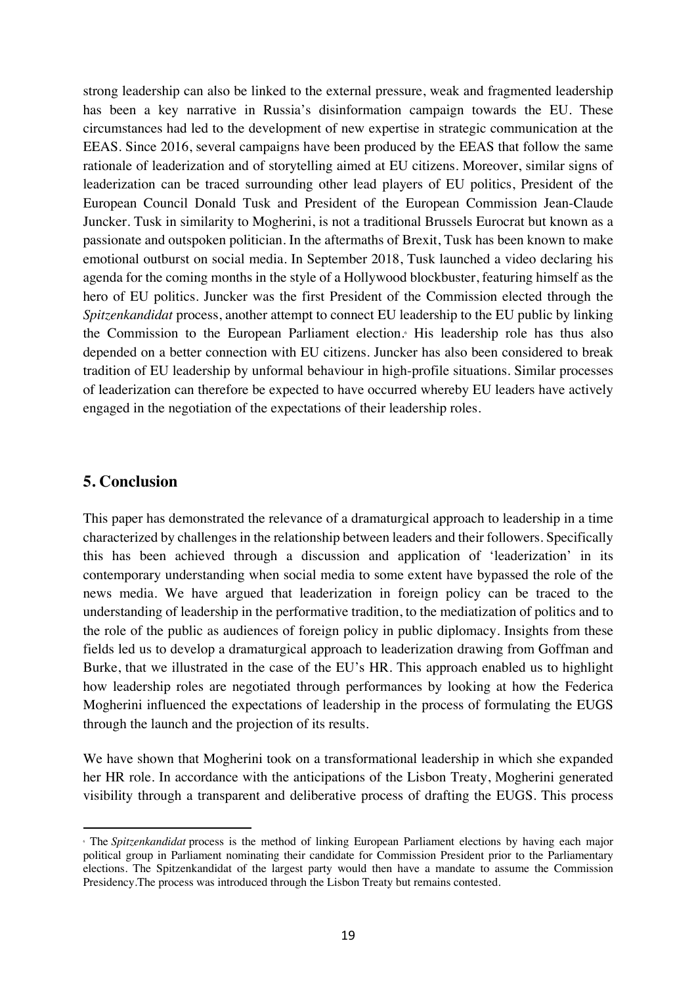strong leadership can also be linked to the external pressure, weak and fragmented leadership has been a key narrative in Russia's disinformation campaign towards the EU. These circumstances had led to the development of new expertise in strategic communication at the EEAS. Since 2016, several campaigns have been produced by the EEAS that follow the same rationale of leaderization and of storytelling aimed at EU citizens. Moreover, similar signs of leaderization can be traced surrounding other lead players of EU politics, President of the European Council Donald Tusk and President of the European Commission Jean-Claude Juncker. Tusk in similarity to Mogherini, is not a traditional Brussels Eurocrat but known as a passionate and outspoken politician. In the aftermaths of Brexit, Tusk has been known to make emotional outburst on social media. In September 2018, Tusk launched a video declaring his agenda for the coming months in the style of a Hollywood blockbuster, featuring himself as the hero of EU politics. Juncker was the first President of the Commission elected through the *Spitzenkandidat* process, another attempt to connect EU leadership to the EU public by linking the Commission to the European Parliament election.6 His leadership role has thus also depended on a better connection with EU citizens. Juncker has also been considered to break tradition of EU leadership by unformal behaviour in high-profile situations. Similar processes of leaderization can therefore be expected to have occurred whereby EU leaders have actively engaged in the negotiation of the expectations of their leadership roles.

## **5. Conclusion**

 $\overline{a}$ 

This paper has demonstrated the relevance of a dramaturgical approach to leadership in a time characterized by challenges in the relationship between leaders and their followers. Specifically this has been achieved through a discussion and application of 'leaderization' in its contemporary understanding when social media to some extent have bypassed the role of the news media. We have argued that leaderization in foreign policy can be traced to the understanding of leadership in the performative tradition, to the mediatization of politics and to the role of the public as audiences of foreign policy in public diplomacy. Insights from these fields led us to develop a dramaturgical approach to leaderization drawing from Goffman and Burke, that we illustrated in the case of the EU's HR. This approach enabled us to highlight how leadership roles are negotiated through performances by looking at how the Federica Mogherini influenced the expectations of leadership in the process of formulating the EUGS through the launch and the projection of its results.

We have shown that Mogherini took on a transformational leadership in which she expanded her HR role. In accordance with the anticipations of the Lisbon Treaty, Mogherini generated visibility through a transparent and deliberative process of drafting the EUGS. This process

<sup>6</sup> The *Spitzenkandidat* process is the method of linking European Parliament elections by having each major political group in Parliament nominating their candidate for Commission President prior to the Parliamentary elections. The Spitzenkandidat of the largest party would then have a mandate to assume the Commission Presidency.The process was introduced through the Lisbon Treaty but remains contested.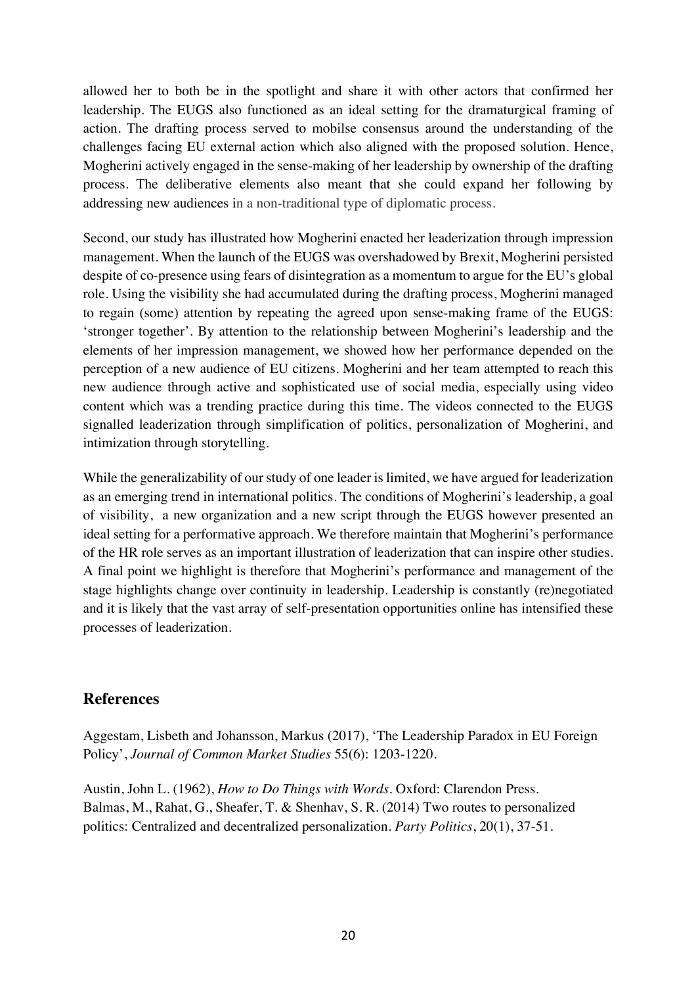allowed her to both be in the spotlight and share it with other actors that confirmed her leadership. The EUGS also functioned as an ideal setting for the dramaturgical framing of action. The drafting process served to mobilse consensus around the understanding of the challenges facing EU external action which also aligned with the proposed solution. Hence, Mogherini actively engaged in the sense-making of her leadership by ownership of the drafting process. The deliberative elements also meant that she could expand her following by addressing new audiences in a non-traditional type of diplomatic process.

Second, our study has illustrated how Mogherini enacted her leaderization through impression management. When the launch of the EUGS was overshadowed by Brexit, Mogherini persisted despite of co-presence using fears of disintegration as a momentum to argue for the EU's global role. Using the visibility she had accumulated during the drafting process, Mogherini managed to regain (some) attention by repeating the agreed upon sense-making frame of the EUGS: 'stronger together'. By attention to the relationship between Mogherini's leadership and the elements of her impression management, we showed how her performance depended on the perception of a new audience of EU citizens. Mogherini and her team attempted to reach this new audience through active and sophisticated use of social media, especially using video content which was a trending practice during this time. The videos connected to the EUGS signalled leaderization through simplification of politics, personalization of Mogherini, and intimization through storytelling.

While the generalizability of our study of one leader is limited, we have argued for leaderization as an emerging trend in international politics. The conditions of Mogherini's leadership, a goal of visibility, a new organization and a new script through the EUGS however presented an ideal setting for a performative approach. We therefore maintain that Mogherini's performance of the HR role serves as an important illustration of leaderization that can inspire other studies. A final point we highlight is therefore that Mogherini's performance and management of the stage highlights change over continuity in leadership. Leadership is constantly (re)negotiated and it is likely that the vast array of self-presentation opportunities online has intensified these processes of leaderization.

## **References**

Aggestam, Lisbeth and Johansson, Markus (2017), 'The Leadership Paradox in EU Foreign Policy', *Journal of Common Market Studies* 55(6): 1203-1220.

Austin, John L. (1962), *How to Do Things with Words.* Oxford: Clarendon Press. Balmas, M., Rahat, G., Sheafer, T. & Shenhav, S. R. (2014) Two routes to personalized politics: Centralized and decentralized personalization*. Party Politics*, 20(1), 37-51.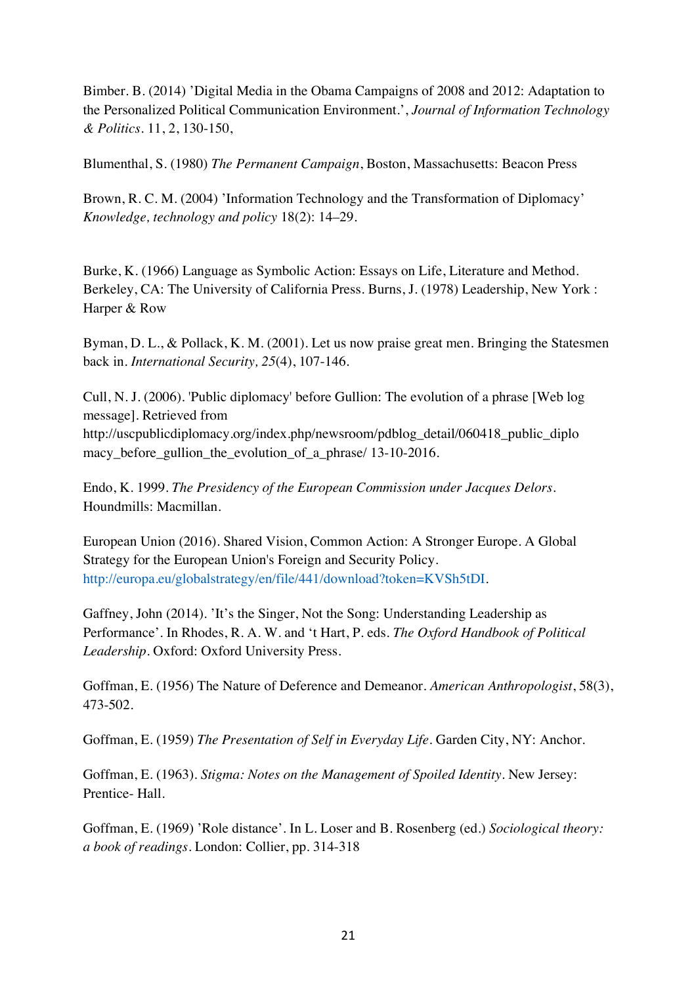Bimber. B. (2014) 'Digital Media in the Obama Campaigns of 2008 and 2012: Adaptation to the Personalized Political Communication Environment.', *Journal of Information Technology & Politics*. 11, 2, 130-150,

Blumenthal, S. (1980) *The Permanent Campaign*, Boston, Massachusetts: Beacon Press

Brown, R. C. M. (2004) 'Information Technology and the Transformation of Diplomacy' *Knowledge, technology and policy* 18(2): 14–29.

Burke, K. (1966) Language as Symbolic Action: Essays on Life, Literature and Method. Berkeley, CA: The University of California Press. Burns, J. (1978) Leadership, New York : Harper & Row

Byman, D. L., & Pollack, K. M. (2001). Let us now praise great men. Bringing the Statesmen back in. *International Security, 25*(4), 107-146.

Cull, N. J. (2006). 'Public diplomacy' before Gullion: The evolution of a phrase [Web log message]. Retrieved from http://uscpublicdiplomacy.org/index.php/newsroom/pdblog\_detail/060418\_public\_diplo macy before gullion the evolution of a phrase/ 13-10-2016.

Endo, K. 1999. *The Presidency of the European Commission under Jacques Delors*. Houndmills: Macmillan.

European Union (2016). Shared Vision, Common Action: A Stronger Europe. A Global Strategy for the European Union's Foreign and Security Policy. http://europa.eu/globalstrategy/en/file/441/download?token=KVSh5tDI.

Gaffney, John (2014). 'It's the Singer, Not the Song: Understanding Leadership as Performance'. In Rhodes, R. A. W. and 't Hart, P. eds. *The Oxford Handbook of Political Leadership.* Oxford: Oxford University Press.

Goffman, E. (1956) The Nature of Deference and Demeanor. *American Anthropologist*, 58(3), 473-502.

Goffman, E. (1959) *The Presentation of Self in Everyday Life*. Garden City, NY: Anchor.

Goffman, E. (1963). *Stigma: Notes on the Management of Spoiled Identity*. New Jersey: Prentice- Hall.

Goffman, E. (1969) 'Role distance'. In L. Loser and B. Rosenberg (ed.) *Sociological theory: a book of readings*. London: Collier, pp. 314-318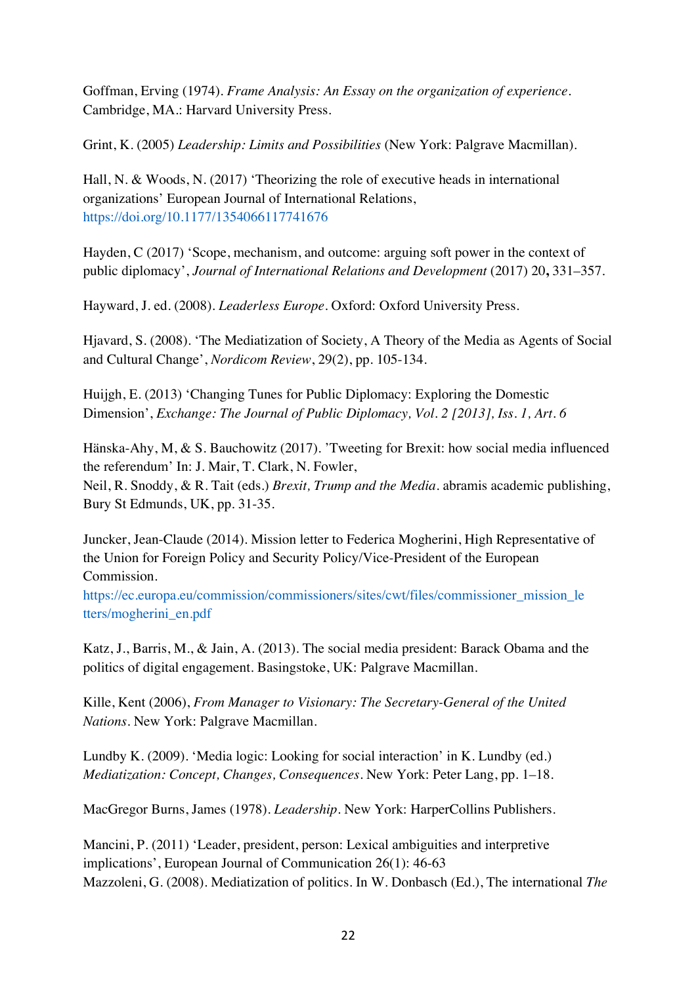Goffman, Erving (1974). *Frame Analysis: An Essay on the organization of experience.*  Cambridge, MA.: Harvard University Press.

Grint, K. (2005) *Leadership: Limits and Possibilities* (New York: Palgrave Macmillan).

Hall, N. & Woods, N. (2017) 'Theorizing the role of executive heads in international organizations' European Journal of International Relations, https://doi.org/10.1177/1354066117741676

Hayden, C (2017) 'Scope, mechanism, and outcome: arguing soft power in the context of public diplomacy', *Journal of International Relations and Development* (2017) 20, 331–357.

Hayward, J. ed. (2008). *Leaderless Europe.* Oxford: Oxford University Press.

Hjavard, S. (2008). 'The Mediatization of Society, A Theory of the Media as Agents of Social and Cultural Change', *Nordicom Review*, 29(2), pp. 105-134.

Huijgh, E. (2013) 'Changing Tunes for Public Diplomacy: Exploring the Domestic Dimension', *Exchange: The Journal of Public Diplomacy, Vol. 2 [2013], Iss. 1, Art. 6* 

Hänska-Ahy, M, & S. Bauchowitz (2017). 'Tweeting for Brexit: how social media influenced the referendum' In: J. Mair, T. Clark, N. Fowler, Neil, R. Snoddy, & R. Tait (eds.) *Brexit, Trump and the Media*. abramis academic publishing, Bury St Edmunds, UK, pp. 31-35.

Juncker, Jean-Claude (2014). Mission letter to Federica Mogherini, High Representative of the Union for Foreign Policy and Security Policy/Vice-President of the European Commission.

https://ec.europa.eu/commission/commissioners/sites/cwt/files/commissioner\_mission\_le tters/mogherini\_en.pdf

Katz, J., Barris, M., & Jain, A. (2013). The social media president: Barack Obama and the politics of digital engagement. Basingstoke, UK: Palgrave Macmillan.

Kille, Kent (2006), *From Manager to Visionary: The Secretary-General of the United Nations.* New York: Palgrave Macmillan.

Lundby K. (2009). 'Media logic: Looking for social interaction' in K. Lundby (ed.) *Mediatization: Concept, Changes, Consequences*. New York: Peter Lang, pp. 1–18.

MacGregor Burns, James (1978). *Leadership*. New York: HarperCollins Publishers.

Mancini, P. (2011) 'Leader, president, person: Lexical ambiguities and interpretive implications', European Journal of Communication 26(1): 46-63 Mazzoleni, G. (2008). Mediatization of politics. In W. Donbasch (Ed.), The international *The*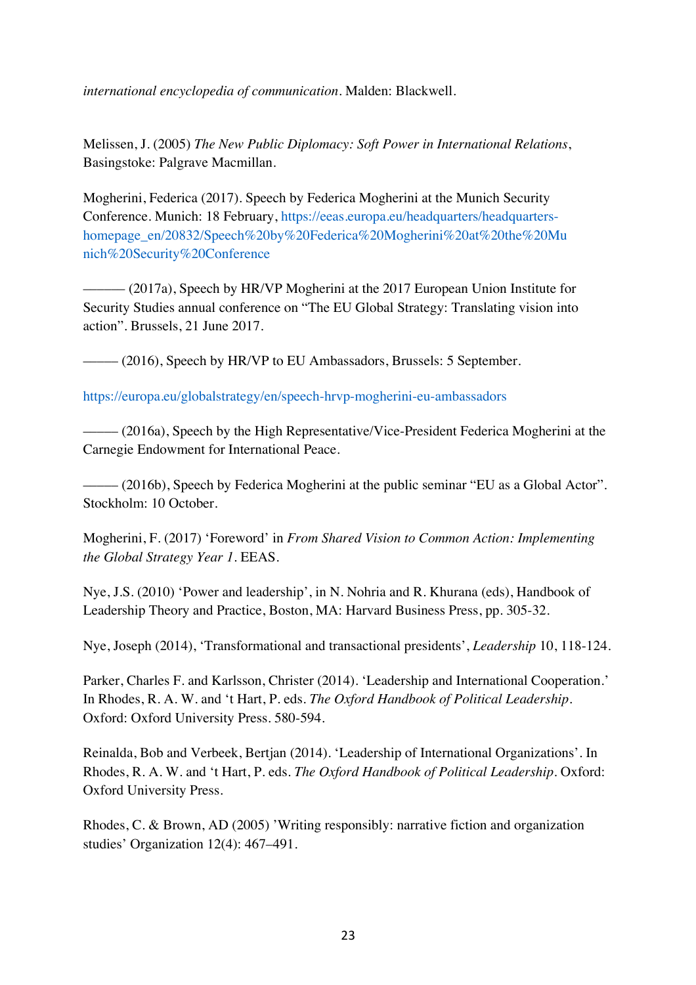*international encyclopedia of communication*. Malden: Blackwell.

Melissen, J. (2005) *The New Public Diplomacy: Soft Power in International Relations*, Basingstoke: Palgrave Macmillan.

Mogherini, Federica (2017). Speech by Federica Mogherini at the Munich Security Conference. Munich: 18 February, https://eeas.europa.eu/headquarters/headquartershomepage\_en/20832/Speech%20by%20Federica%20Mogherini%20at%20the%20Mu nich%20Security%20Conference

–––––– (2017a), Speech by HR/VP Mogherini at the 2017 European Union Institute for Security Studies annual conference on "The EU Global Strategy: Translating vision into action". Brussels, 21 June 2017.

––––– (2016), Speech by HR/VP to EU Ambassadors, Brussels: 5 September.

https://europa.eu/globalstrategy/en/speech-hrvp-mogherini-eu-ambassadors

 $-$  (2016a), Speech by the High Representative/Vice-President Federica Mogherini at the Carnegie Endowment for International Peace.

– (2016b), Speech by Federica Mogherini at the public seminar "EU as a Global Actor". Stockholm: 10 October.

Mogherini, F. (2017) 'Foreword' in *From Shared Vision to Common Action: Implementing the Global Strategy Year 1*. EEAS.

Nye, J.S. (2010) 'Power and leadership', in N. Nohria and R. Khurana (eds), Handbook of Leadership Theory and Practice, Boston, MA: Harvard Business Press, pp. 305-32.

Nye, Joseph (2014), 'Transformational and transactional presidents', *Leadership* 10, 118-124.

Parker, Charles F. and Karlsson, Christer (2014). 'Leadership and International Cooperation.' In Rhodes, R. A. W. and 't Hart, P. eds. *The Oxford Handbook of Political Leadership.*  Oxford: Oxford University Press. 580-594.

Reinalda, Bob and Verbeek, Bertjan (2014). 'Leadership of International Organizations'. In Rhodes, R. A. W. and 't Hart, P. eds. *The Oxford Handbook of Political Leadership.* Oxford: Oxford University Press.

Rhodes, C. & Brown, AD (2005) 'Writing responsibly: narrative fiction and organization studies' Organization 12(4): 467–491.